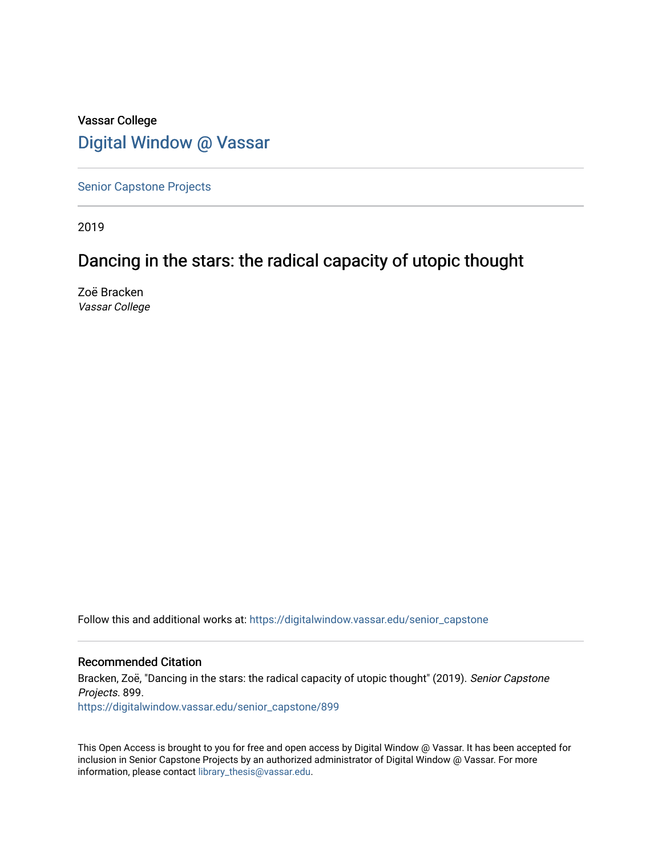# Vassar College [Digital Window @ Vassar](https://digitalwindow.vassar.edu/)

[Senior Capstone Projects](https://digitalwindow.vassar.edu/senior_capstone)

2019

# Dancing in the stars: the radical capacity of utopic thought

Zoë Bracken Vassar College

Follow this and additional works at: [https://digitalwindow.vassar.edu/senior\\_capstone](https://digitalwindow.vassar.edu/senior_capstone?utm_source=digitalwindow.vassar.edu%2Fsenior_capstone%2F899&utm_medium=PDF&utm_campaign=PDFCoverPages) 

### Recommended Citation

Bracken, Zoë, "Dancing in the stars: the radical capacity of utopic thought" (2019). Senior Capstone Projects. 899. [https://digitalwindow.vassar.edu/senior\\_capstone/899](https://digitalwindow.vassar.edu/senior_capstone/899?utm_source=digitalwindow.vassar.edu%2Fsenior_capstone%2F899&utm_medium=PDF&utm_campaign=PDFCoverPages) 

This Open Access is brought to you for free and open access by Digital Window @ Vassar. It has been accepted for inclusion in Senior Capstone Projects by an authorized administrator of Digital Window @ Vassar. For more information, please contact [library\\_thesis@vassar.edu](mailto:library_thesis@vassar.edu).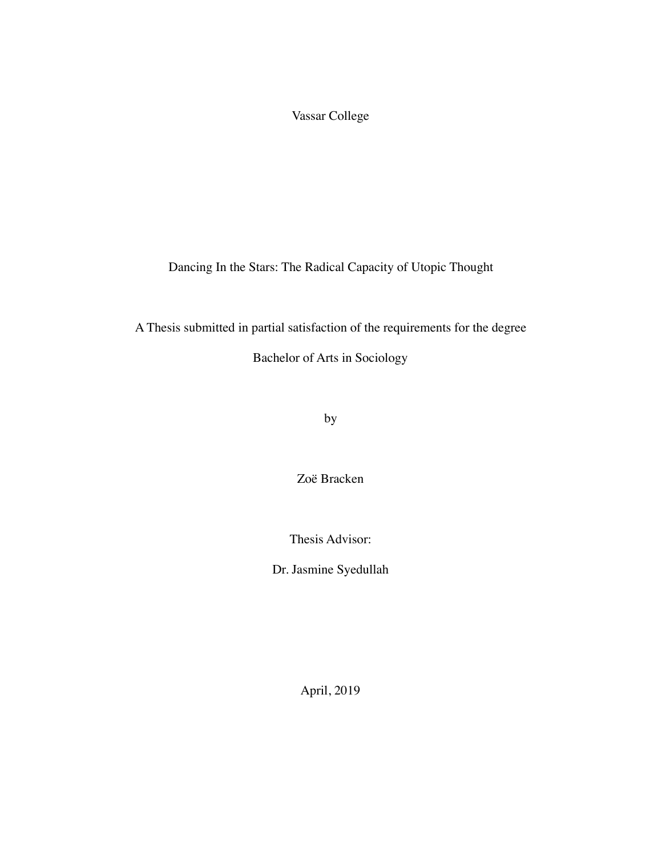Vassar College

Dancing In the Stars: The Radical Capacity of Utopic Thought

A Thesis submitted in partial satisfaction of the requirements for the degree

Bachelor of Arts in Sociology

by

Zoë Bracken

Thesis Advisor:

Dr. Jasmine Syedullah

April, 2019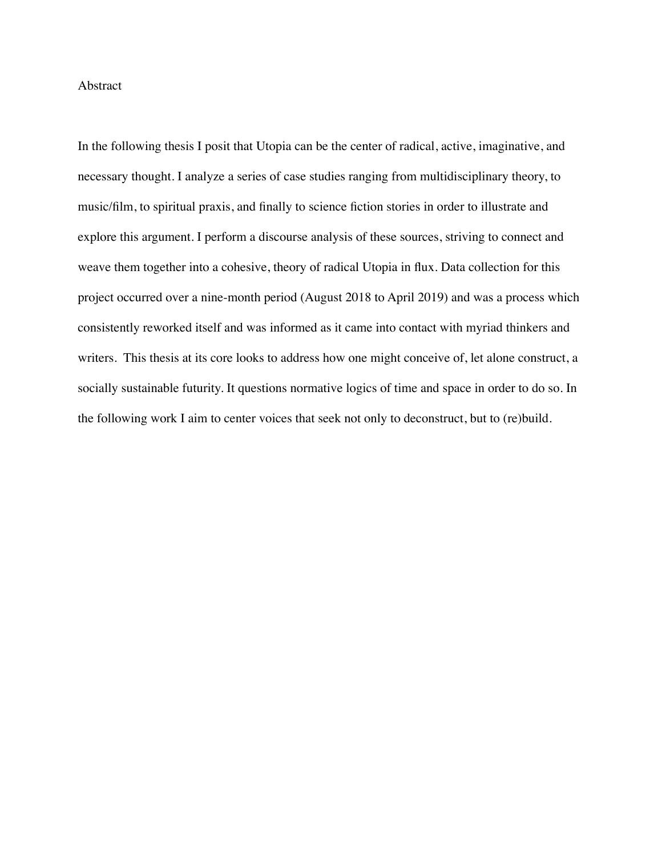### Abstract

In the following thesis I posit that Utopia can be the center of radical, active, imaginative, and necessary thought. I analyze a series of case studies ranging from multidisciplinary theory, to music/film, to spiritual praxis, and finally to science fiction stories in order to illustrate and explore this argument. I perform a discourse analysis of these sources, striving to connect and weave them together into a cohesive, theory of radical Utopia in flux. Data collection for this project occurred over a nine-month period (August 2018 to April 2019) and was a process which consistently reworked itself and was informed as it came into contact with myriad thinkers and writers. This thesis at its core looks to address how one might conceive of, let alone construct, a socially sustainable futurity. It questions normative logics of time and space in order to do so. In the following work I aim to center voices that seek not only to deconstruct, but to (re)build.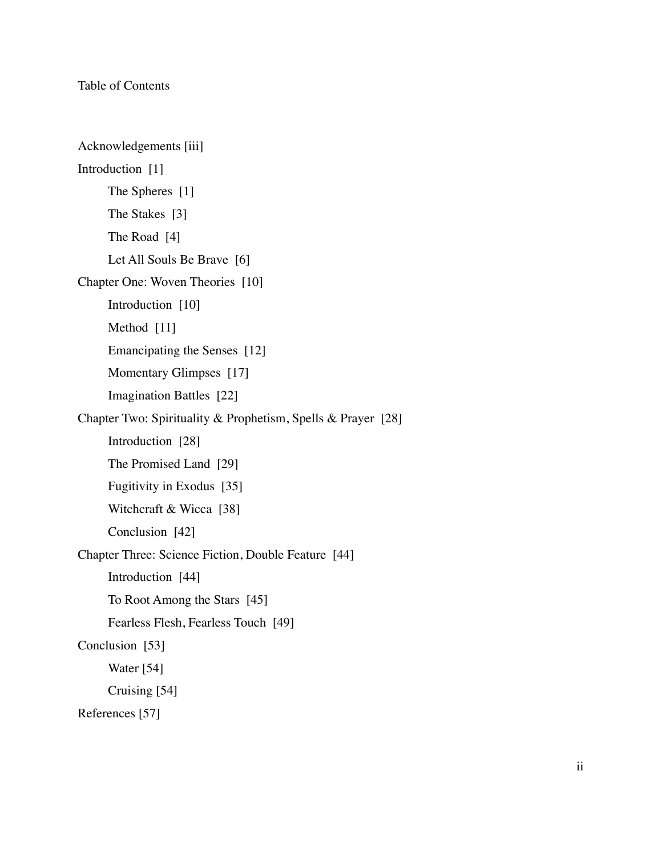Acknowledgements [iii] Introduction [1] The Spheres [1] The Stakes [3] The Road [4] Let All Souls Be Brave [6] Chapter One: Woven Theories [10] Introduction [10] Method [11] Emancipating the Senses [12] Momentary Glimpses [17] Imagination Battles [22] Chapter Two: Spirituality & Prophetism, Spells & Prayer [28] Introduction [28] The Promised Land [29] Fugitivity in Exodus [35] Witchcraft & Wicca [38] Conclusion [42] Chapter Three: Science Fiction, Double Feature [44] Introduction [44] To Root Among the Stars [45] Fearless Flesh, Fearless Touch [49] Conclusion [53] Water [54] Cruising [54] References [57]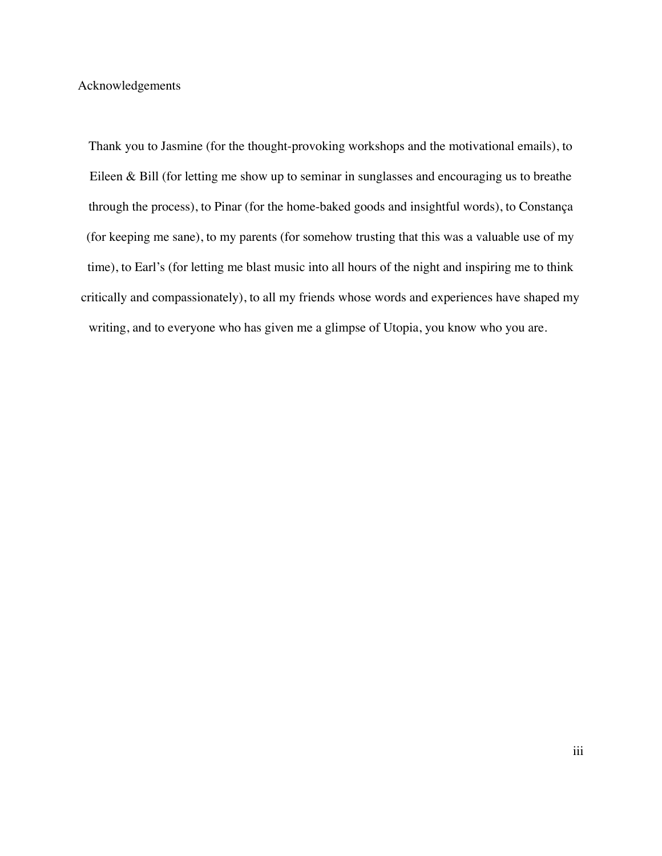### Acknowledgements

Thank you to Jasmine (for the thought-provoking workshops and the motivational emails), to Eileen & Bill (for letting me show up to seminar in sunglasses and encouraging us to breathe through the process), to Pinar (for the home-baked goods and insightful words), to Constança (for keeping me sane), to my parents (for somehow trusting that this was a valuable use of my time), to Earl's (for letting me blast music into all hours of the night and inspiring me to think critically and compassionately), to all my friends whose words and experiences have shaped my writing, and to everyone who has given me a glimpse of Utopia, you know who you are.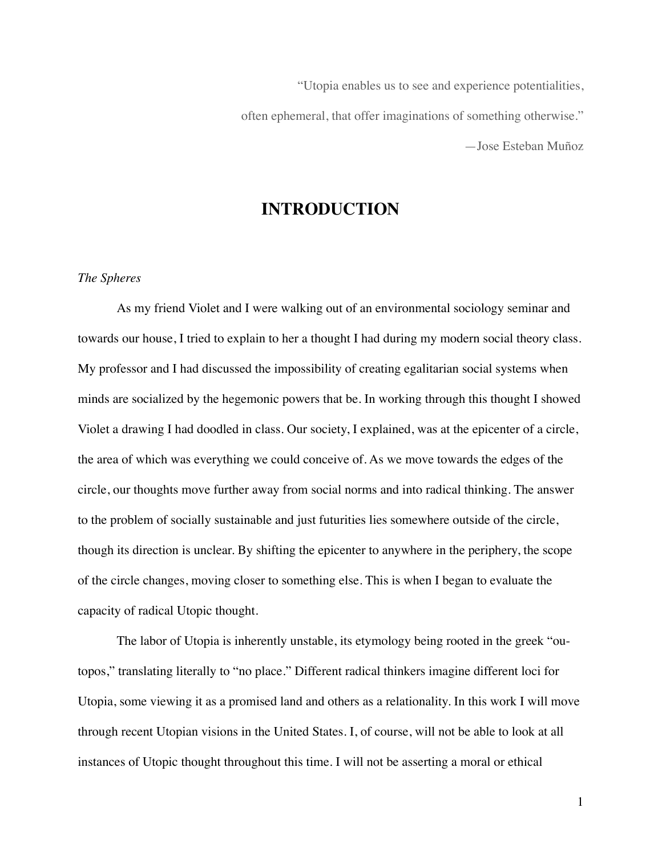"Utopia enables us to see and experience potentialities, often ephemeral, that offer imaginations of something otherwise." —Jose Esteban Muñoz

# **INTRODUCTION**

### *The Spheres*

As my friend Violet and I were walking out of an environmental sociology seminar and towards our house, I tried to explain to her a thought I had during my modern social theory class. My professor and I had discussed the impossibility of creating egalitarian social systems when minds are socialized by the hegemonic powers that be. In working through this thought I showed Violet a drawing I had doodled in class. Our society, I explained, was at the epicenter of a circle, the area of which was everything we could conceive of. As we move towards the edges of the circle, our thoughts move further away from social norms and into radical thinking. The answer to the problem of socially sustainable and just futurities lies somewhere outside of the circle, though its direction is unclear. By shifting the epicenter to anywhere in the periphery, the scope of the circle changes, moving closer to something else. This is when I began to evaluate the capacity of radical Utopic thought.

The labor of Utopia is inherently unstable, its etymology being rooted in the greek "outopos," translating literally to "no place." Different radical thinkers imagine different loci for Utopia, some viewing it as a promised land and others as a relationality. In this work I will move through recent Utopian visions in the United States. I, of course, will not be able to look at all instances of Utopic thought throughout this time. I will not be asserting a moral or ethical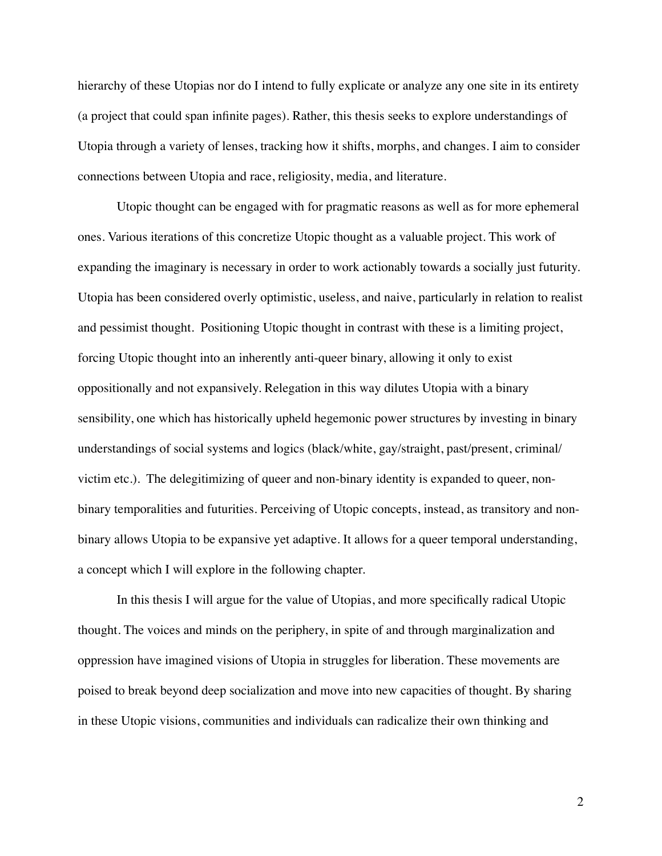hierarchy of these Utopias nor do I intend to fully explicate or analyze any one site in its entirety (a project that could span infinite pages). Rather, this thesis seeks to explore understandings of Utopia through a variety of lenses, tracking how it shifts, morphs, and changes. I aim to consider connections between Utopia and race, religiosity, media, and literature.

Utopic thought can be engaged with for pragmatic reasons as well as for more ephemeral ones. Various iterations of this concretize Utopic thought as a valuable project. This work of expanding the imaginary is necessary in order to work actionably towards a socially just futurity. Utopia has been considered overly optimistic, useless, and naive, particularly in relation to realist and pessimist thought. Positioning Utopic thought in contrast with these is a limiting project, forcing Utopic thought into an inherently anti-queer binary, allowing it only to exist oppositionally and not expansively. Relegation in this way dilutes Utopia with a binary sensibility, one which has historically upheld hegemonic power structures by investing in binary understandings of social systems and logics (black/white, gay/straight, past/present, criminal/ victim etc.). The delegitimizing of queer and non-binary identity is expanded to queer, nonbinary temporalities and futurities. Perceiving of Utopic concepts, instead, as transitory and nonbinary allows Utopia to be expansive yet adaptive. It allows for a queer temporal understanding, a concept which I will explore in the following chapter.

In this thesis I will argue for the value of Utopias, and more specifically radical Utopic thought. The voices and minds on the periphery, in spite of and through marginalization and oppression have imagined visions of Utopia in struggles for liberation. These movements are poised to break beyond deep socialization and move into new capacities of thought. By sharing in these Utopic visions, communities and individuals can radicalize their own thinking and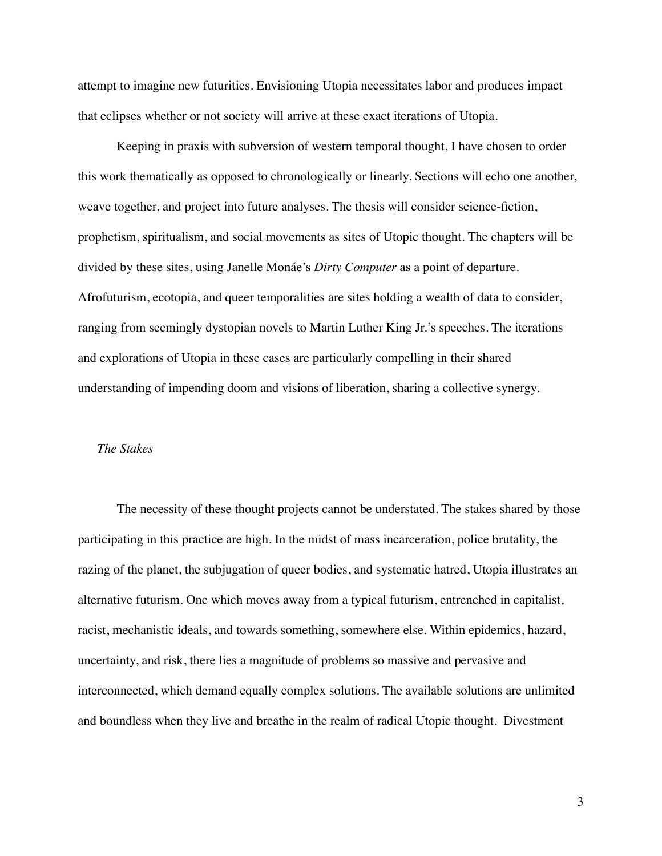attempt to imagine new futurities. Envisioning Utopia necessitates labor and produces impact that eclipses whether or not society will arrive at these exact iterations of Utopia.

Keeping in praxis with subversion of western temporal thought, I have chosen to order this work thematically as opposed to chronologically or linearly. Sections will echo one another, weave together, and project into future analyses. The thesis will consider science-fiction, prophetism, spiritualism, and social movements as sites of Utopic thought. The chapters will be divided by these sites, using Janelle Monáe's *Dirty Computer* as a point of departure. Afrofuturism, ecotopia, and queer temporalities are sites holding a wealth of data to consider, ranging from seemingly dystopian novels to Martin Luther King Jr.'s speeches. The iterations and explorations of Utopia in these cases are particularly compelling in their shared understanding of impending doom and visions of liberation, sharing a collective synergy.

### *The Stakes*

The necessity of these thought projects cannot be understated. The stakes shared by those participating in this practice are high. In the midst of mass incarceration, police brutality, the razing of the planet, the subjugation of queer bodies, and systematic hatred, Utopia illustrates an alternative futurism. One which moves away from a typical futurism, entrenched in capitalist, racist, mechanistic ideals, and towards something, somewhere else. Within epidemics, hazard, uncertainty, and risk, there lies a magnitude of problems so massive and pervasive and interconnected, which demand equally complex solutions. The available solutions are unlimited and boundless when they live and breathe in the realm of radical Utopic thought. Divestment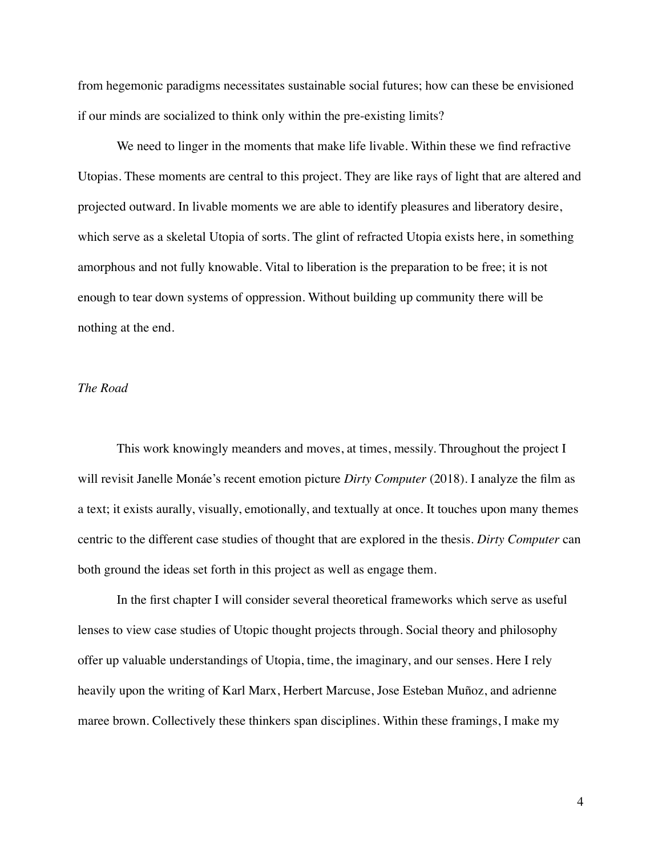from hegemonic paradigms necessitates sustainable social futures; how can these be envisioned if our minds are socialized to think only within the pre-existing limits?

We need to linger in the moments that make life livable. Within these we find refractive Utopias. These moments are central to this project. They are like rays of light that are altered and projected outward. In livable moments we are able to identify pleasures and liberatory desire, which serve as a skeletal Utopia of sorts. The glint of refracted Utopia exists here, in something amorphous and not fully knowable. Vital to liberation is the preparation to be free; it is not enough to tear down systems of oppression. Without building up community there will be nothing at the end.

# *The Road*

This work knowingly meanders and moves, at times, messily. Throughout the project I will revisit Janelle Monáe's recent emotion picture *Dirty Computer* (2018). I analyze the film as a text; it exists aurally, visually, emotionally, and textually at once. It touches upon many themes centric to the different case studies of thought that are explored in the thesis. *Dirty Computer* can both ground the ideas set forth in this project as well as engage them.

In the first chapter I will consider several theoretical frameworks which serve as useful lenses to view case studies of Utopic thought projects through. Social theory and philosophy offer up valuable understandings of Utopia, time, the imaginary, and our senses. Here I rely heavily upon the writing of Karl Marx, Herbert Marcuse, Jose Esteban Muñoz, and adrienne maree brown. Collectively these thinkers span disciplines. Within these framings, I make my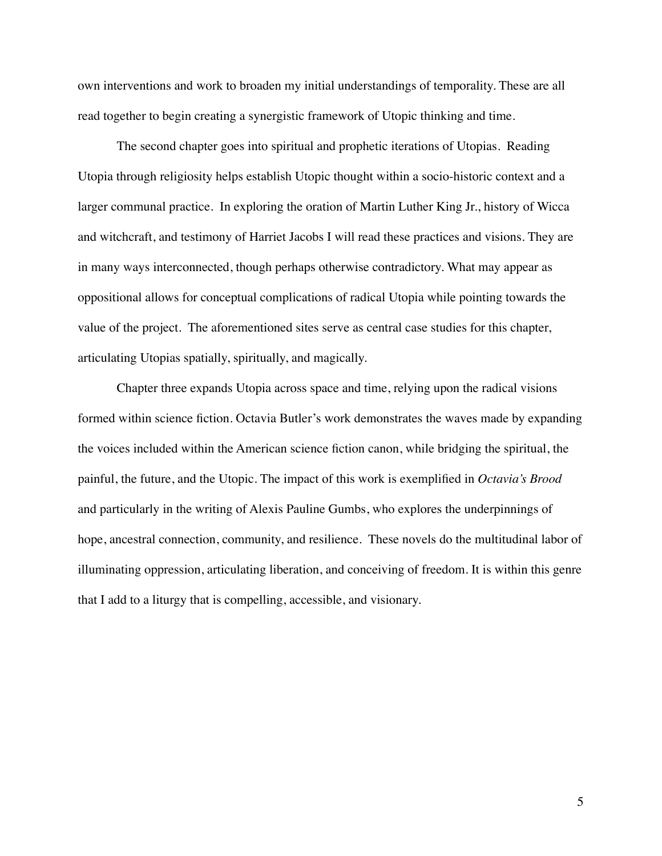own interventions and work to broaden my initial understandings of temporality. These are all read together to begin creating a synergistic framework of Utopic thinking and time.

The second chapter goes into spiritual and prophetic iterations of Utopias. Reading Utopia through religiosity helps establish Utopic thought within a socio-historic context and a larger communal practice. In exploring the oration of Martin Luther King Jr., history of Wicca and witchcraft, and testimony of Harriet Jacobs I will read these practices and visions. They are in many ways interconnected, though perhaps otherwise contradictory. What may appear as oppositional allows for conceptual complications of radical Utopia while pointing towards the value of the project. The aforementioned sites serve as central case studies for this chapter, articulating Utopias spatially, spiritually, and magically.

Chapter three expands Utopia across space and time, relying upon the radical visions formed within science fiction. Octavia Butler's work demonstrates the waves made by expanding the voices included within the American science fiction canon, while bridging the spiritual, the painful, the future, and the Utopic. The impact of this work is exemplified in *Octavia's Brood* and particularly in the writing of Alexis Pauline Gumbs, who explores the underpinnings of hope, ancestral connection, community, and resilience. These novels do the multitudinal labor of illuminating oppression, articulating liberation, and conceiving of freedom. It is within this genre that I add to a liturgy that is compelling, accessible, and visionary.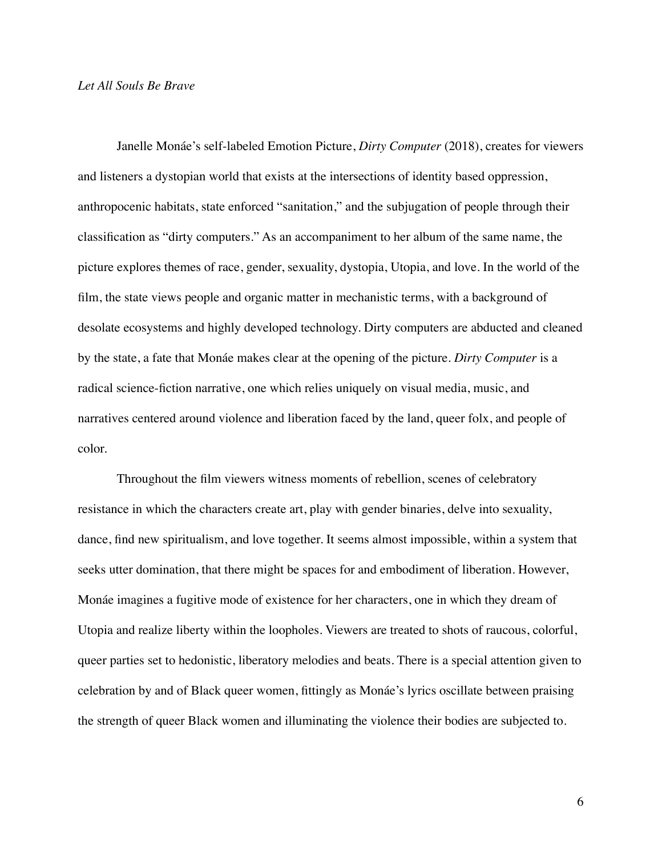### *Let All Souls Be Brave*

Janelle Monáe's self-labeled Emotion Picture, *Dirty Computer* (2018), creates for viewers and listeners a dystopian world that exists at the intersections of identity based oppression, anthropocenic habitats, state enforced "sanitation," and the subjugation of people through their classification as "dirty computers." As an accompaniment to her album of the same name, the picture explores themes of race, gender, sexuality, dystopia, Utopia, and love. In the world of the film, the state views people and organic matter in mechanistic terms, with a background of desolate ecosystems and highly developed technology. Dirty computers are abducted and cleaned by the state, a fate that Monáe makes clear at the opening of the picture. *Dirty Computer* is a radical science-fiction narrative, one which relies uniquely on visual media, music, and narratives centered around violence and liberation faced by the land, queer folx, and people of color.

Throughout the film viewers witness moments of rebellion, scenes of celebratory resistance in which the characters create art, play with gender binaries, delve into sexuality, dance, find new spiritualism, and love together. It seems almost impossible, within a system that seeks utter domination, that there might be spaces for and embodiment of liberation. However, Monáe imagines a fugitive mode of existence for her characters, one in which they dream of Utopia and realize liberty within the loopholes. Viewers are treated to shots of raucous, colorful, queer parties set to hedonistic, liberatory melodies and beats. There is a special attention given to celebration by and of Black queer women, fittingly as Monáe's lyrics oscillate between praising the strength of queer Black women and illuminating the violence their bodies are subjected to.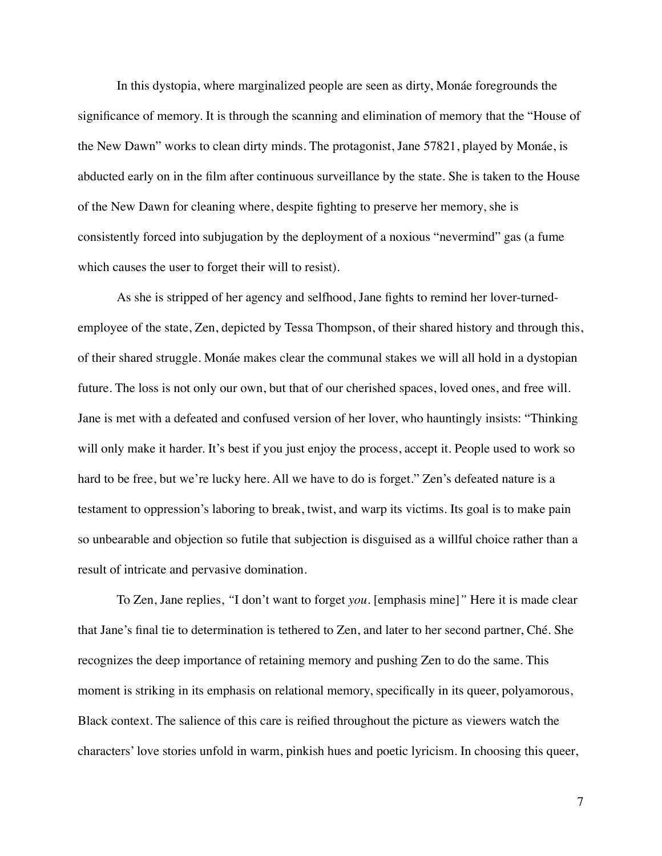In this dystopia, where marginalized people are seen as dirty, Monáe foregrounds the significance of memory. It is through the scanning and elimination of memory that the "House of the New Dawn" works to clean dirty minds. The protagonist, Jane 57821, played by Monáe, is abducted early on in the film after continuous surveillance by the state. She is taken to the House of the New Dawn for cleaning where, despite fighting to preserve her memory, she is consistently forced into subjugation by the deployment of a noxious "nevermind" gas (a fume which causes the user to forget their will to resist).

As she is stripped of her agency and selfhood, Jane fights to remind her lover-turnedemployee of the state, Zen, depicted by Tessa Thompson, of their shared history and through this, of their shared struggle. Monáe makes clear the communal stakes we will all hold in a dystopian future. The loss is not only our own, but that of our cherished spaces, loved ones, and free will. Jane is met with a defeated and confused version of her lover, who hauntingly insists: "Thinking will only make it harder. It's best if you just enjoy the process, accept it. People used to work so hard to be free, but we're lucky here. All we have to do is forget." Zen's defeated nature is a testament to oppression's laboring to break, twist, and warp its victims. Its goal is to make pain so unbearable and objection so futile that subjection is disguised as a willful choice rather than a result of intricate and pervasive domination.

To Zen, Jane replies, *"*I don't want to forget *you.* [emphasis mine]*"* Here it is made clear that Jane's final tie to determination is tethered to Zen, and later to her second partner, Ché. She recognizes the deep importance of retaining memory and pushing Zen to do the same. This moment is striking in its emphasis on relational memory, specifically in its queer, polyamorous, Black context. The salience of this care is reified throughout the picture as viewers watch the characters' love stories unfold in warm, pinkish hues and poetic lyricism. In choosing this queer,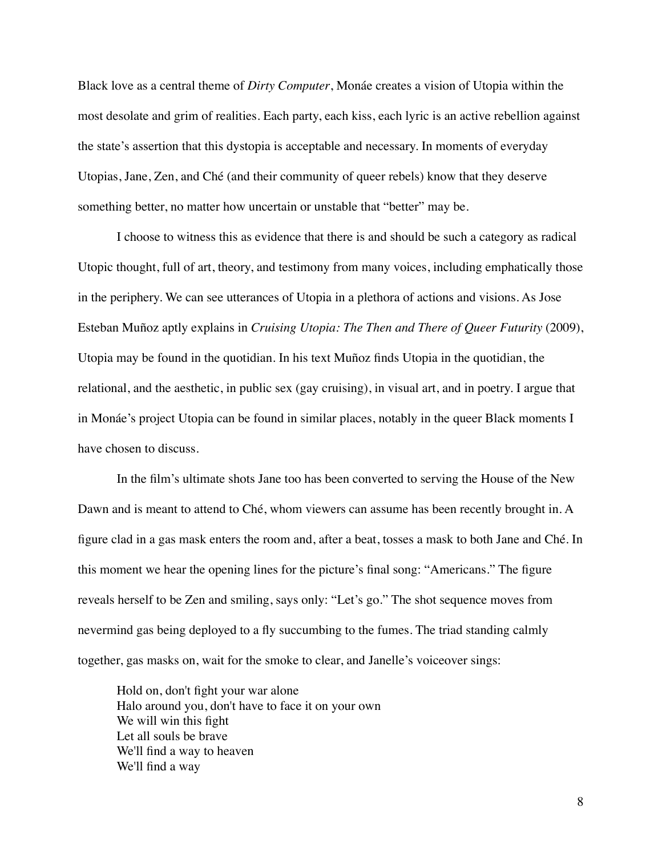Black love as a central theme of *Dirty Computer*, Monáe creates a vision of Utopia within the most desolate and grim of realities. Each party, each kiss, each lyric is an active rebellion against the state's assertion that this dystopia is acceptable and necessary. In moments of everyday Utopias, Jane, Zen, and Ché (and their community of queer rebels) know that they deserve something better, no matter how uncertain or unstable that "better" may be.

I choose to witness this as evidence that there is and should be such a category as radical Utopic thought, full of art, theory, and testimony from many voices, including emphatically those in the periphery. We can see utterances of Utopia in a plethora of actions and visions. As Jose Esteban Muñoz aptly explains in *Cruising Utopia: The Then and There of Queer Futurity* (2009), Utopia may be found in the quotidian. In his text Muñoz finds Utopia in the quotidian, the relational, and the aesthetic, in public sex (gay cruising), in visual art, and in poetry. I argue that in Monáe's project Utopia can be found in similar places, notably in the queer Black moments I have chosen to discuss.

In the film's ultimate shots Jane too has been converted to serving the House of the New Dawn and is meant to attend to Ché, whom viewers can assume has been recently brought in. A figure clad in a gas mask enters the room and, after a beat, tosses a mask to both Jane and Ché. In this moment we hear the opening lines for the picture's final song: "Americans." The figure reveals herself to be Zen and smiling, says only: "Let's go." The shot sequence moves from nevermind gas being deployed to a fly succumbing to the fumes. The triad standing calmly together, gas masks on, wait for the smoke to clear, and Janelle's voiceover sings:

Hold on, don't fight your war alone Halo around you, don't have to face it on your own We will win this fight Let all souls be brave We'll find a way to heaven We'll find a way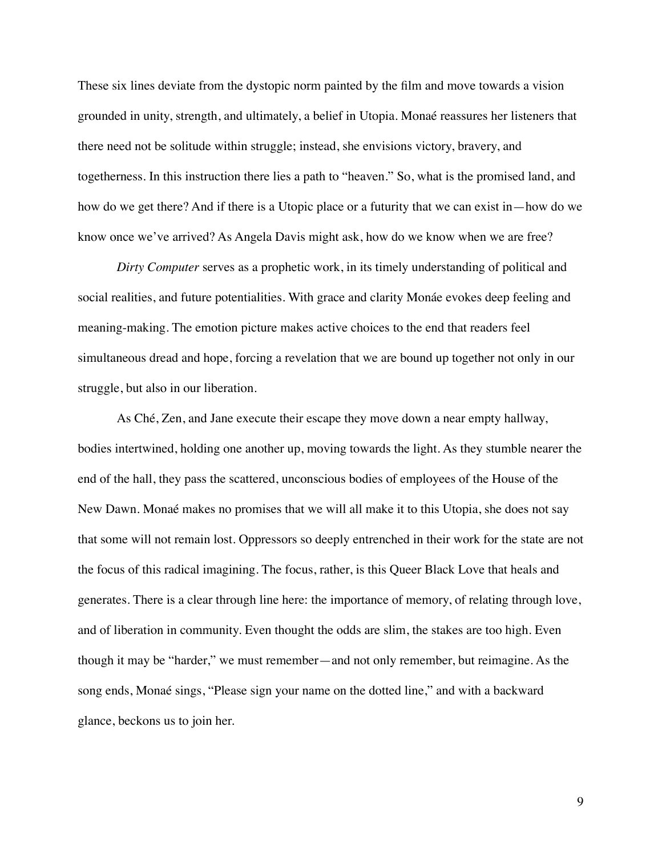These six lines deviate from the dystopic norm painted by the film and move towards a vision grounded in unity, strength, and ultimately, a belief in Utopia. Monaé reassures her listeners that there need not be solitude within struggle; instead, she envisions victory, bravery, and togetherness. In this instruction there lies a path to "heaven." So, what is the promised land, and how do we get there? And if there is a Utopic place or a futurity that we can exist in—how do we know once we've arrived? As Angela Davis might ask, how do we know when we are free?

*Dirty Computer* serves as a prophetic work, in its timely understanding of political and social realities, and future potentialities. With grace and clarity Monáe evokes deep feeling and meaning-making. The emotion picture makes active choices to the end that readers feel simultaneous dread and hope, forcing a revelation that we are bound up together not only in our struggle, but also in our liberation.

As Ché, Zen, and Jane execute their escape they move down a near empty hallway, bodies intertwined, holding one another up, moving towards the light. As they stumble nearer the end of the hall, they pass the scattered, unconscious bodies of employees of the House of the New Dawn. Monaé makes no promises that we will all make it to this Utopia, she does not say that some will not remain lost. Oppressors so deeply entrenched in their work for the state are not the focus of this radical imagining. The focus, rather, is this Queer Black Love that heals and generates. There is a clear through line here: the importance of memory, of relating through love, and of liberation in community. Even thought the odds are slim, the stakes are too high. Even though it may be "harder," we must remember—and not only remember, but reimagine. As the song ends, Monaé sings, "Please sign your name on the dotted line," and with a backward glance, beckons us to join her.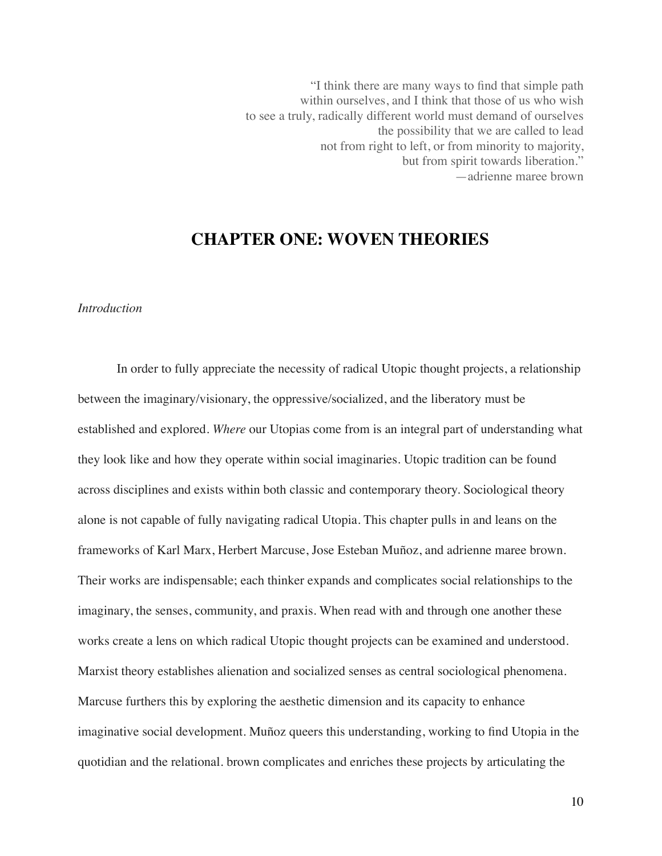"I think there are many ways to find that simple path within ourselves, and I think that those of us who wish to see a truly, radically different world must demand of ourselves the possibility that we are called to lead not from right to left, or from minority to majority, but from spirit towards liberation." —adrienne maree brown

# **CHAPTER ONE: WOVEN THEORIES**

### *Introduction*

In order to fully appreciate the necessity of radical Utopic thought projects, a relationship between the imaginary/visionary, the oppressive/socialized, and the liberatory must be established and explored. *Where* our Utopias come from is an integral part of understanding what they look like and how they operate within social imaginaries. Utopic tradition can be found across disciplines and exists within both classic and contemporary theory. Sociological theory alone is not capable of fully navigating radical Utopia. This chapter pulls in and leans on the frameworks of Karl Marx, Herbert Marcuse, Jose Esteban Muñoz, and adrienne maree brown. Their works are indispensable; each thinker expands and complicates social relationships to the imaginary, the senses, community, and praxis. When read with and through one another these works create a lens on which radical Utopic thought projects can be examined and understood. Marxist theory establishes alienation and socialized senses as central sociological phenomena. Marcuse furthers this by exploring the aesthetic dimension and its capacity to enhance imaginative social development. Muñoz queers this understanding, working to find Utopia in the quotidian and the relational. brown complicates and enriches these projects by articulating the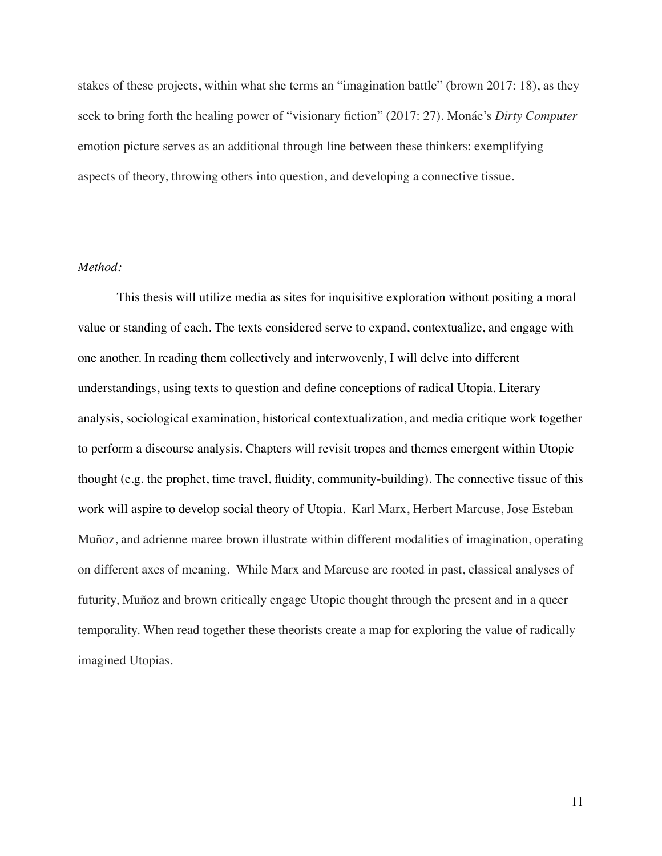stakes of these projects, within what she terms an "imagination battle" (brown 2017: 18), as they seek to bring forth the healing power of "visionary fiction" (2017: 27). Monáe's *Dirty Computer* emotion picture serves as an additional through line between these thinkers: exemplifying aspects of theory, throwing others into question, and developing a connective tissue.

# *Method:*

This thesis will utilize media as sites for inquisitive exploration without positing a moral value or standing of each. The texts considered serve to expand, contextualize, and engage with one another. In reading them collectively and interwovenly, I will delve into different understandings, using texts to question and define conceptions of radical Utopia. Literary analysis, sociological examination, historical contextualization, and media critique work together to perform a discourse analysis. Chapters will revisit tropes and themes emergent within Utopic thought (e.g. the prophet, time travel, fluidity, community-building). The connective tissue of this work will aspire to develop social theory of Utopia. Karl Marx, Herbert Marcuse, Jose Esteban Muñoz, and adrienne maree brown illustrate within different modalities of imagination, operating on different axes of meaning. While Marx and Marcuse are rooted in past, classical analyses of futurity, Muñoz and brown critically engage Utopic thought through the present and in a queer temporality. When read together these theorists create a map for exploring the value of radically imagined Utopias.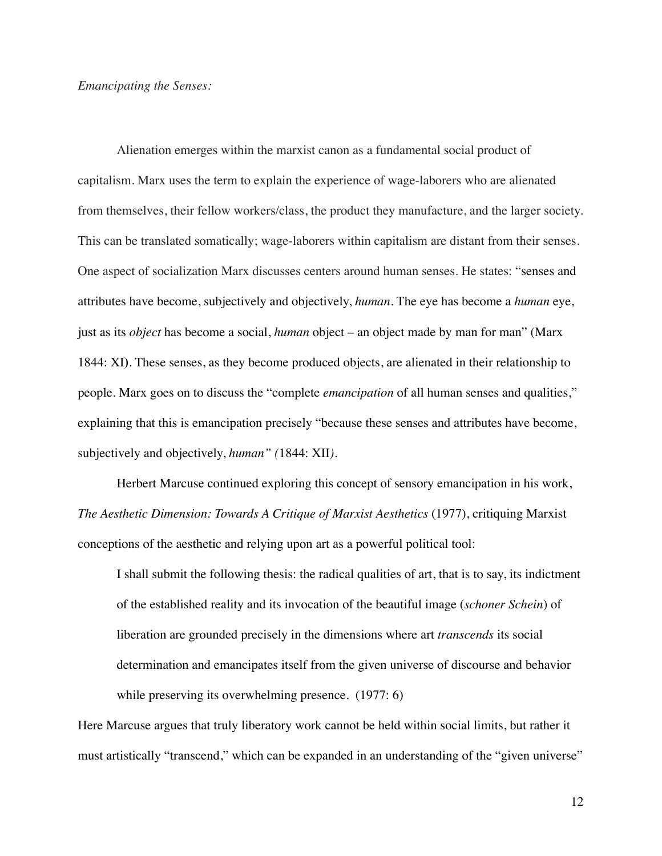### *Emancipating the Senses:*

Alienation emerges within the marxist canon as a fundamental social product of capitalism. Marx uses the term to explain the experience of wage-laborers who are alienated from themselves, their fellow workers/class, the product they manufacture, and the larger society. This can be translated somatically; wage-laborers within capitalism are distant from their senses. One aspect of socialization Marx discusses centers around human senses. He states: "senses and attributes have become, subjectively and objectively, *human*. The eye has become a *human* eye, just as its *object* has become a social, *human* object – an object made by man for man" (Marx 1844: XI**)**. These senses, as they become produced objects, are alienated in their relationship to people. Marx goes on to discuss the "complete *emancipation* of all human senses and qualities," explaining that this is emancipation precisely "because these senses and attributes have become, subjectively and objectively, *human" (*1844: XII*).* 

Herbert Marcuse continued exploring this concept of sensory emancipation in his work, *The Aesthetic Dimension: Towards A Critique of Marxist Aesthetics* (1977), critiquing Marxist conceptions of the aesthetic and relying upon art as a powerful political tool:

I shall submit the following thesis: the radical qualities of art, that is to say, its indictment of the established reality and its invocation of the beautiful image (*schoner Schein*) of liberation are grounded precisely in the dimensions where art *transcends* its social determination and emancipates itself from the given universe of discourse and behavior while preserving its overwhelming presence. (1977: 6)

Here Marcuse argues that truly liberatory work cannot be held within social limits, but rather it must artistically "transcend," which can be expanded in an understanding of the "given universe"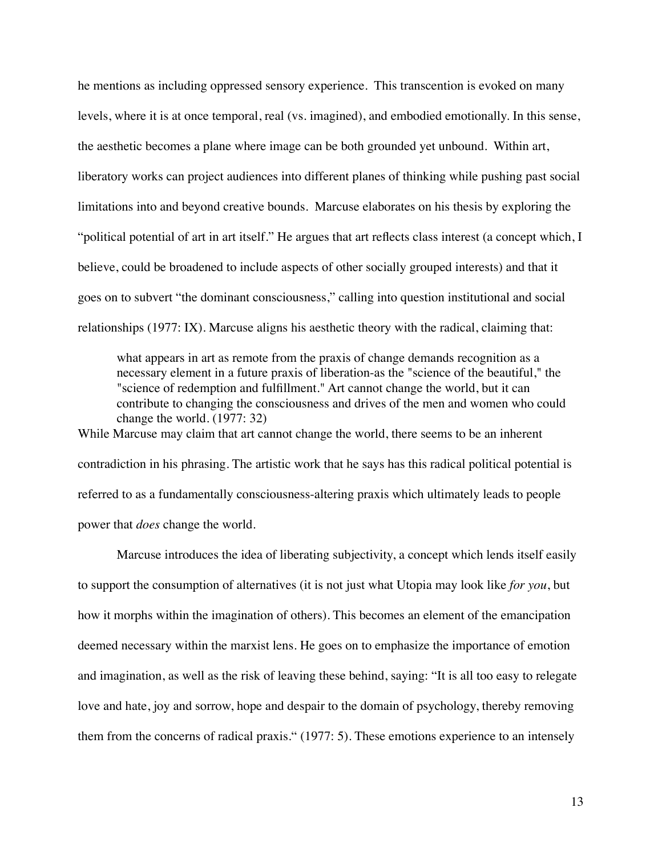he mentions as including oppressed sensory experience. This transcention is evoked on many levels, where it is at once temporal, real (vs. imagined), and embodied emotionally. In this sense, the aesthetic becomes a plane where image can be both grounded yet unbound. Within art, liberatory works can project audiences into different planes of thinking while pushing past social limitations into and beyond creative bounds. Marcuse elaborates on his thesis by exploring the "political potential of art in art itself." He argues that art reflects class interest (a concept which, I believe, could be broadened to include aspects of other socially grouped interests) and that it goes on to subvert "the dominant consciousness," calling into question institutional and social relationships (1977: IX). Marcuse aligns his aesthetic theory with the radical, claiming that:

what appears in art as remote from the praxis of change demands recognition as a necessary element in a future praxis of liberation-as the "science of the beautiful," the "science of redemption and fulfillment." Art cannot change the world, but it can contribute to changing the consciousness and drives of the men and women who could change the world. (1977: 32)

While Marcuse may claim that art cannot change the world, there seems to be an inherent contradiction in his phrasing. The artistic work that he says has this radical political potential is referred to as a fundamentally consciousness-altering praxis which ultimately leads to people power that *does* change the world.

Marcuse introduces the idea of liberating subjectivity, a concept which lends itself easily to support the consumption of alternatives (it is not just what Utopia may look like *for you*, but how it morphs within the imagination of others). This becomes an element of the emancipation deemed necessary within the marxist lens. He goes on to emphasize the importance of emotion and imagination, as well as the risk of leaving these behind, saying: "It is all too easy to relegate love and hate, joy and sorrow, hope and despair to the domain of psychology, thereby removing them from the concerns of radical praxis." (1977: 5). These emotions experience to an intensely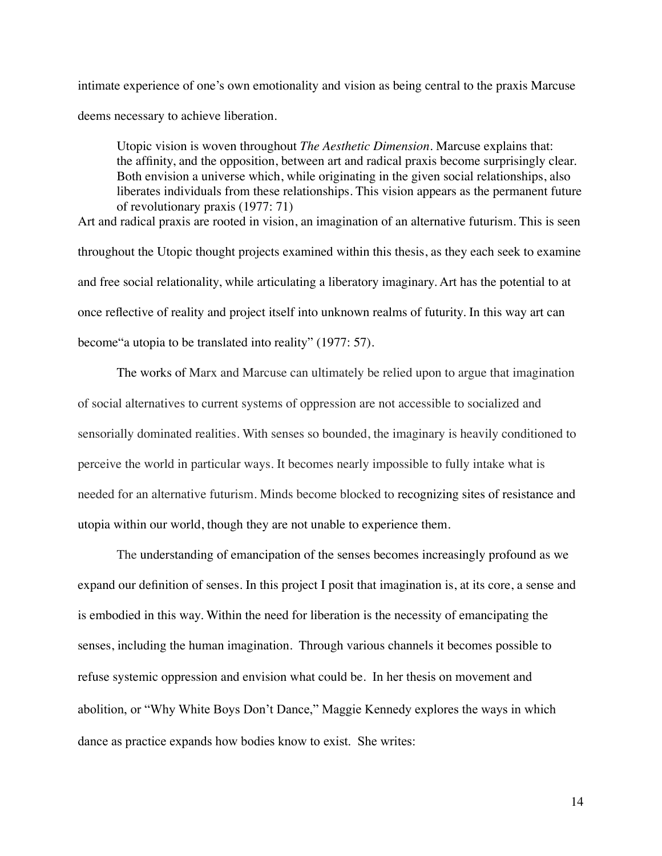intimate experience of one's own emotionality and vision as being central to the praxis Marcuse deems necessary to achieve liberation.

Utopic vision is woven throughout *The Aesthetic Dimension*. Marcuse explains that: the affinity, and the opposition, between art and radical praxis become surprisingly clear. Both envision a universe which, while originating in the given social relationships, also liberates individuals from these relationships. This vision appears as the permanent future of revolutionary praxis (1977: 71)

Art and radical praxis are rooted in vision, an imagination of an alternative futurism. This is seen throughout the Utopic thought projects examined within this thesis, as they each seek to examine and free social relationality, while articulating a liberatory imaginary. Art has the potential to at once reflective of reality and project itself into unknown realms of futurity. In this way art can become"a utopia to be translated into reality" (1977: 57).

The works of Marx and Marcuse can ultimately be relied upon to argue that imagination of social alternatives to current systems of oppression are not accessible to socialized and sensorially dominated realities. With senses so bounded, the imaginary is heavily conditioned to perceive the world in particular ways. It becomes nearly impossible to fully intake what is needed for an alternative futurism. Minds become blocked to recognizing sites of resistance and utopia within our world, though they are not unable to experience them.

The understanding of emancipation of the senses becomes increasingly profound as we expand our definition of senses. In this project I posit that imagination is, at its core, a sense and is embodied in this way. Within the need for liberation is the necessity of emancipating the senses, including the human imagination. Through various channels it becomes possible to refuse systemic oppression and envision what could be. In her thesis on movement and abolition, or "Why White Boys Don't Dance," Maggie Kennedy explores the ways in which dance as practice expands how bodies know to exist. She writes: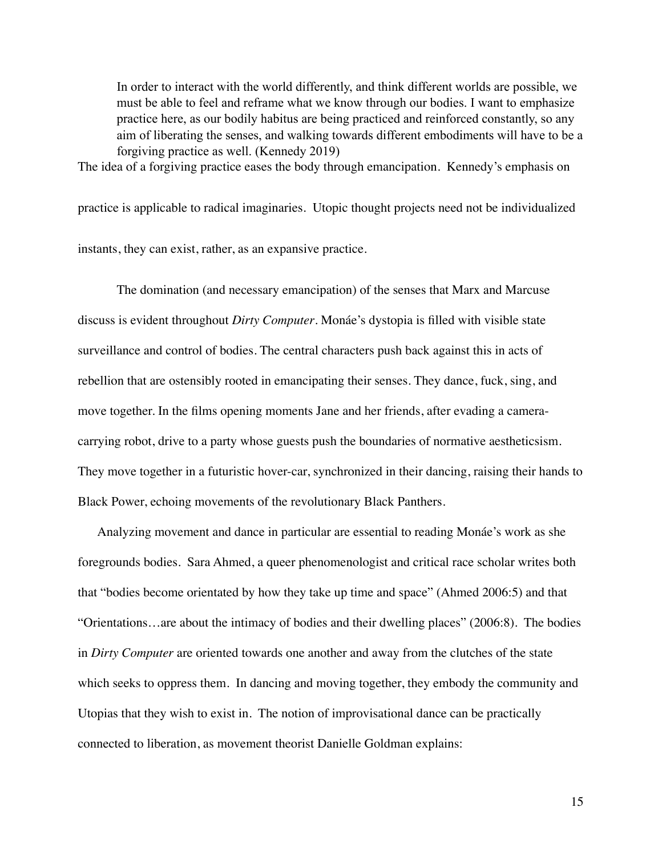In order to interact with the world differently, and think different worlds are possible, we must be able to feel and reframe what we know through our bodies. I want to emphasize practice here, as our bodily habitus are being practiced and reinforced constantly, so any aim of liberating the senses, and walking towards different embodiments will have to be a forgiving practice as well. (Kennedy 2019)

The idea of a forgiving practice eases the body through emancipation. Kennedy's emphasis on

practice is applicable to radical imaginaries. Utopic thought projects need not be individualized instants, they can exist, rather, as an expansive practice.

The domination (and necessary emancipation) of the senses that Marx and Marcuse discuss is evident throughout *Dirty Computer*. Monáe's dystopia is filled with visible state surveillance and control of bodies. The central characters push back against this in acts of rebellion that are ostensibly rooted in emancipating their senses. They dance, fuck, sing, and move together. In the films opening moments Jane and her friends, after evading a cameracarrying robot, drive to a party whose guests push the boundaries of normative aestheticsism. They move together in a futuristic hover-car, synchronized in their dancing, raising their hands to Black Power, echoing movements of the revolutionary Black Panthers.

Analyzing movement and dance in particular are essential to reading Monáe's work as she foregrounds bodies. Sara Ahmed, a queer phenomenologist and critical race scholar writes both that "bodies become orientated by how they take up time and space" (Ahmed 2006:5) and that "Orientations…are about the intimacy of bodies and their dwelling places" (2006:8). The bodies in *Dirty Computer* are oriented towards one another and away from the clutches of the state which seeks to oppress them. In dancing and moving together, they embody the community and Utopias that they wish to exist in. The notion of improvisational dance can be practically connected to liberation, as movement theorist Danielle Goldman explains: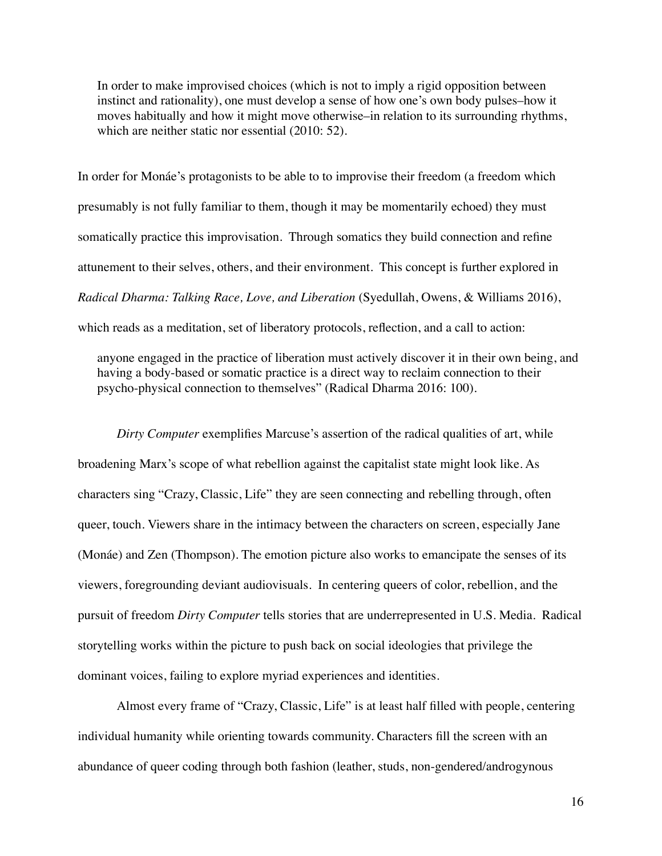In order to make improvised choices (which is not to imply a rigid opposition between instinct and rationality), one must develop a sense of how one's own body pulses–how it moves habitually and how it might move otherwise–in relation to its surrounding rhythms, which are neither static nor essential (2010: 52).

In order for Monáe's protagonists to be able to to improvise their freedom (a freedom which presumably is not fully familiar to them, though it may be momentarily echoed) they must somatically practice this improvisation. Through somatics they build connection and refine attunement to their selves, others, and their environment. This concept is further explored in *Radical Dharma: Talking Race, Love, and Liberation* (Syedullah, Owens, & Williams 2016), which reads as a meditation, set of liberatory protocols, reflection, and a call to action:

anyone engaged in the practice of liberation must actively discover it in their own being, and having a body-based or somatic practice is a direct way to reclaim connection to their psycho-physical connection to themselves" (Radical Dharma 2016: 100).

*Dirty Computer* exemplifies Marcuse's assertion of the radical qualities of art, while broadening Marx's scope of what rebellion against the capitalist state might look like. As characters sing "Crazy, Classic, Life" they are seen connecting and rebelling through, often queer, touch. Viewers share in the intimacy between the characters on screen, especially Jane (Monáe) and Zen (Thompson). The emotion picture also works to emancipate the senses of its viewers, foregrounding deviant audiovisuals. In centering queers of color, rebellion, and the pursuit of freedom *Dirty Computer* tells stories that are underrepresented in U.S. Media. Radical storytelling works within the picture to push back on social ideologies that privilege the dominant voices, failing to explore myriad experiences and identities.

Almost every frame of "Crazy, Classic, Life" is at least half filled with people, centering individual humanity while orienting towards community. Characters fill the screen with an abundance of queer coding through both fashion (leather, studs, non-gendered/androgynous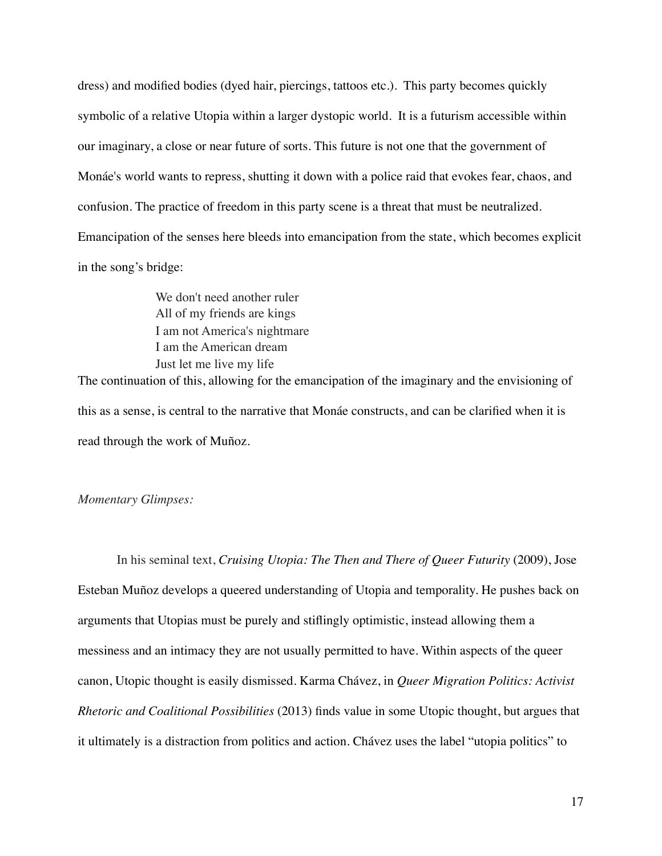dress) and modified bodies (dyed hair, piercings, tattoos etc.). This party becomes quickly symbolic of a relative Utopia within a larger dystopic world. It is a futurism accessible within our imaginary, a close or near future of sorts. This future is not one that the government of Monáe's world wants to repress, shutting it down with a police raid that evokes fear, chaos, and confusion. The practice of freedom in this party scene is a threat that must be neutralized. Emancipation of the senses here bleeds into emancipation from the state, which becomes explicit in the song's bridge:

> We don't need another ruler All of my friends are kings I am not America's nightmare I am the American dream Just let me live my life

The continuation of this, allowing for the emancipation of the imaginary and the envisioning of this as a sense, is central to the narrative that Monáe constructs, and can be clarified when it is read through the work of Muñoz.

# *Momentary Glimpses:*

In his seminal text, *Cruising Utopia: The Then and There of Queer Futurity* (2009), Jose Esteban Muñoz develops a queered understanding of Utopia and temporality. He pushes back on arguments that Utopias must be purely and stiflingly optimistic, instead allowing them a messiness and an intimacy they are not usually permitted to have. Within aspects of the queer canon, Utopic thought is easily dismissed. Karma Chávez, in *Queer Migration Politics: Activist Rhetoric and Coalitional Possibilities* (2013) finds value in some Utopic thought, but argues that it ultimately is a distraction from politics and action. Chávez uses the label "utopia politics" to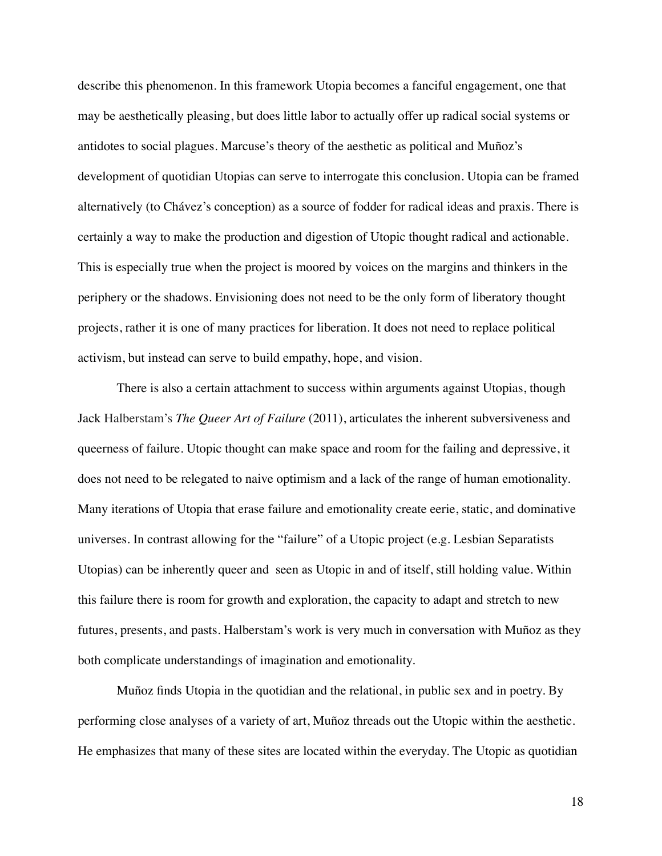describe this phenomenon. In this framework Utopia becomes a fanciful engagement, one that may be aesthetically pleasing, but does little labor to actually offer up radical social systems or antidotes to social plagues. Marcuse's theory of the aesthetic as political and Muñoz's development of quotidian Utopias can serve to interrogate this conclusion. Utopia can be framed alternatively (to Chávez's conception) as a source of fodder for radical ideas and praxis. There is certainly a way to make the production and digestion of Utopic thought radical and actionable. This is especially true when the project is moored by voices on the margins and thinkers in the periphery or the shadows. Envisioning does not need to be the only form of liberatory thought projects, rather it is one of many practices for liberation. It does not need to replace political activism, but instead can serve to build empathy, hope, and vision.

There is also a certain attachment to success within arguments against Utopias, though Jack Halberstam's *The Queer Art of Failure* (2011), articulates the inherent subversiveness and queerness of failure. Utopic thought can make space and room for the failing and depressive, it does not need to be relegated to naive optimism and a lack of the range of human emotionality. Many iterations of Utopia that erase failure and emotionality create eerie, static, and dominative universes. In contrast allowing for the "failure" of a Utopic project (e.g. Lesbian Separatists Utopias) can be inherently queer and seen as Utopic in and of itself, still holding value. Within this failure there is room for growth and exploration, the capacity to adapt and stretch to new futures, presents, and pasts. Halberstam's work is very much in conversation with Muñoz as they both complicate understandings of imagination and emotionality.

Muñoz finds Utopia in the quotidian and the relational, in public sex and in poetry. By performing close analyses of a variety of art, Muñoz threads out the Utopic within the aesthetic. He emphasizes that many of these sites are located within the everyday. The Utopic as quotidian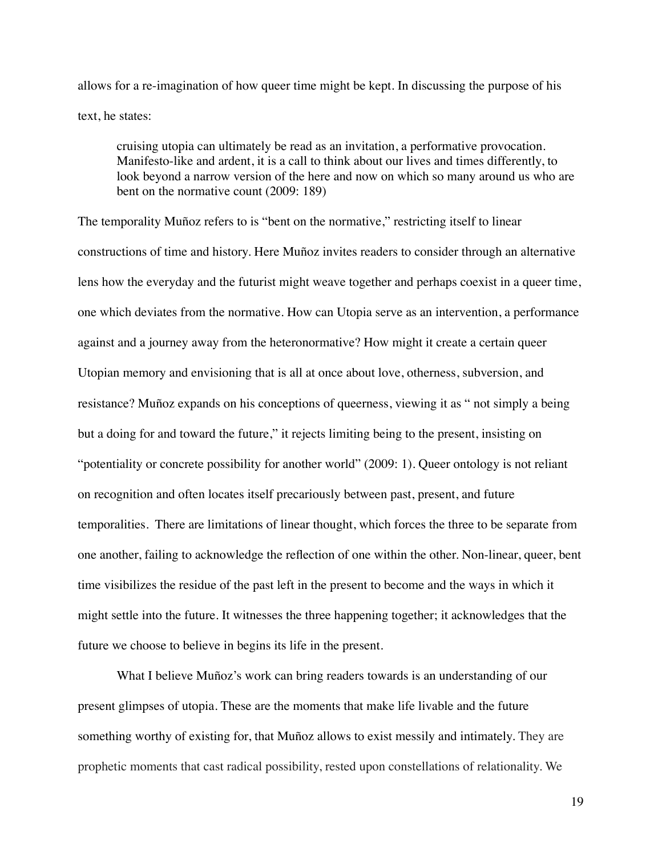allows for a re-imagination of how queer time might be kept. In discussing the purpose of his text, he states:

cruising utopia can ultimately be read as an invitation, a performative provocation. Manifesto-like and ardent, it is a call to think about our lives and times differently, to look beyond a narrow version of the here and now on which so many around us who are bent on the normative count (2009: 189)

The temporality Muñoz refers to is "bent on the normative," restricting itself to linear constructions of time and history. Here Muñoz invites readers to consider through an alternative lens how the everyday and the futurist might weave together and perhaps coexist in a queer time, one which deviates from the normative. How can Utopia serve as an intervention, a performance against and a journey away from the heteronormative? How might it create a certain queer Utopian memory and envisioning that is all at once about love, otherness, subversion, and resistance? Muñoz expands on his conceptions of queerness, viewing it as " not simply a being but a doing for and toward the future," it rejects limiting being to the present, insisting on "potentiality or concrete possibility for another world" (2009: 1). Queer ontology is not reliant on recognition and often locates itself precariously between past, present, and future temporalities. There are limitations of linear thought, which forces the three to be separate from one another, failing to acknowledge the reflection of one within the other. Non-linear, queer, bent time visibilizes the residue of the past left in the present to become and the ways in which it might settle into the future. It witnesses the three happening together; it acknowledges that the future we choose to believe in begins its life in the present.

What I believe Muñoz's work can bring readers towards is an understanding of our present glimpses of utopia. These are the moments that make life livable and the future something worthy of existing for, that Muñoz allows to exist messily and intimately. They are prophetic moments that cast radical possibility, rested upon constellations of relationality. We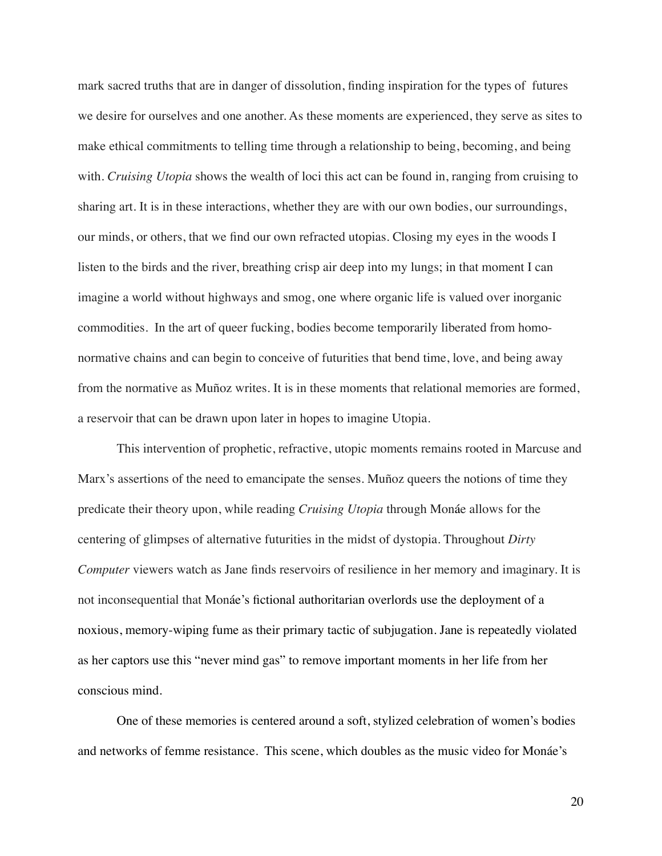mark sacred truths that are in danger of dissolution, finding inspiration for the types of futures we desire for ourselves and one another. As these moments are experienced, they serve as sites to make ethical commitments to telling time through a relationship to being, becoming, and being with. *Cruising Utopia* shows the wealth of loci this act can be found in, ranging from cruising to sharing art. It is in these interactions, whether they are with our own bodies, our surroundings, our minds, or others, that we find our own refracted utopias. Closing my eyes in the woods I listen to the birds and the river, breathing crisp air deep into my lungs; in that moment I can imagine a world without highways and smog, one where organic life is valued over inorganic commodities. In the art of queer fucking, bodies become temporarily liberated from homonormative chains and can begin to conceive of futurities that bend time, love, and being away from the normative as Muñoz writes. It is in these moments that relational memories are formed, a reservoir that can be drawn upon later in hopes to imagine Utopia.

 This intervention of prophetic, refractive, utopic moments remains rooted in Marcuse and Marx's assertions of the need to emancipate the senses. Muñoz queers the notions of time they predicate their theory upon, while reading *Cruising Utopia* through Monáe allows for the centering of glimpses of alternative futurities in the midst of dystopia. Throughout *Dirty Computer* viewers watch as Jane finds reservoirs of resilience in her memory and imaginary. It is not inconsequential that Monáe's fictional authoritarian overlords use the deployment of a noxious, memory-wiping fume as their primary tactic of subjugation. Jane is repeatedly violated as her captors use this "never mind gas" to remove important moments in her life from her conscious mind.

One of these memories is centered around a soft, stylized celebration of women's bodies and networks of femme resistance. This scene, which doubles as the music video for Monáe's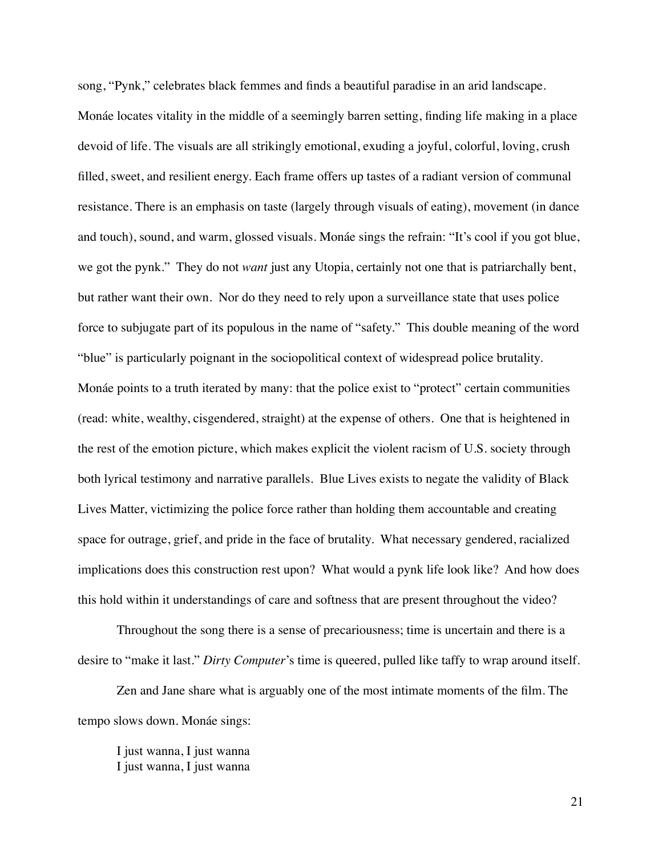song, "Pynk," celebrates black femmes and finds a beautiful paradise in an arid landscape. Monáe locates vitality in the middle of a seemingly barren setting, finding life making in a place devoid of life. The visuals are all strikingly emotional, exuding a joyful, colorful, loving, crush filled, sweet, and resilient energy. Each frame offers up tastes of a radiant version of communal resistance. There is an emphasis on taste (largely through visuals of eating), movement (in dance and touch), sound, and warm, glossed visuals. Monáe sings the refrain: "It's cool if you got blue, we got the pynk." They do not *want* just any Utopia, certainly not one that is patriarchally bent, but rather want their own. Nor do they need to rely upon a surveillance state that uses police force to subjugate part of its populous in the name of "safety." This double meaning of the word "blue" is particularly poignant in the sociopolitical context of widespread police brutality. Monáe points to a truth iterated by many: that the police exist to "protect" certain communities (read: white, wealthy, cisgendered, straight) at the expense of others. One that is heightened in the rest of the emotion picture, which makes explicit the violent racism of U.S. society through both lyrical testimony and narrative parallels. Blue Lives exists to negate the validity of Black Lives Matter, victimizing the police force rather than holding them accountable and creating space for outrage, grief, and pride in the face of brutality. What necessary gendered, racialized implications does this construction rest upon? What would a pynk life look like? And how does this hold within it understandings of care and softness that are present throughout the video?

Throughout the song there is a sense of precariousness; time is uncertain and there is a desire to "make it last." *Dirty Computer*'s time is queered, pulled like taffy to wrap around itself.

Zen and Jane share what is arguably one of the most intimate moments of the film. The tempo slows down. Monáe sings:

I just wanna, I just wanna I just wanna, I just wanna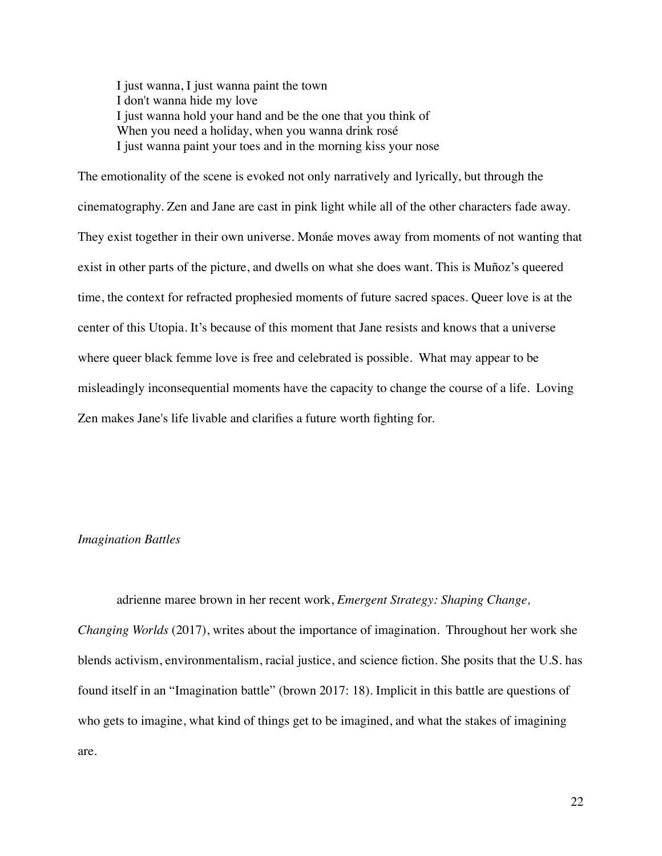I just wanna, I just wanna paint the town I don't wanna hide my love I just wanna hold your hand and be the one that you think of When you need a holiday, when you wanna drink rosé I just wanna paint your toes and in the morning kiss your nose

The emotionality of the scene is evoked not only narratively and lyrically, but through the cinematography. Zen and Jane are cast in pink light while all of the other characters fade away. They exist together in their own universe. Monáe moves away from moments of not wanting that exist in other parts of the picture, and dwells on what she does want. This is Muñoz's queered time, the context for refracted prophesied moments of future sacred spaces. Queer love is at the center of this Utopia. It's because of this moment that Jane resists and knows that a universe where queer black femme love is free and celebrated is possible. What may appear to be misleadingly inconsequential moments have the capacity to change the course of a life. Loving Zen makes Jane's life livable and clarifies a future worth fighting for.

#### *Imagination Battles*

adrienne maree brown in her recent work, *Emergent Strategy: Shaping Change, Changing Worlds* (2017), writes about the importance of imagination. Throughout her work she blends activism, environmentalism, racial justice, and science fiction. She posits that the U.S. has found itself in an "Imagination battle" (brown 2017: 18). Implicit in this battle are questions of who gets to imagine, what kind of things get to be imagined, and what the stakes of imagining are.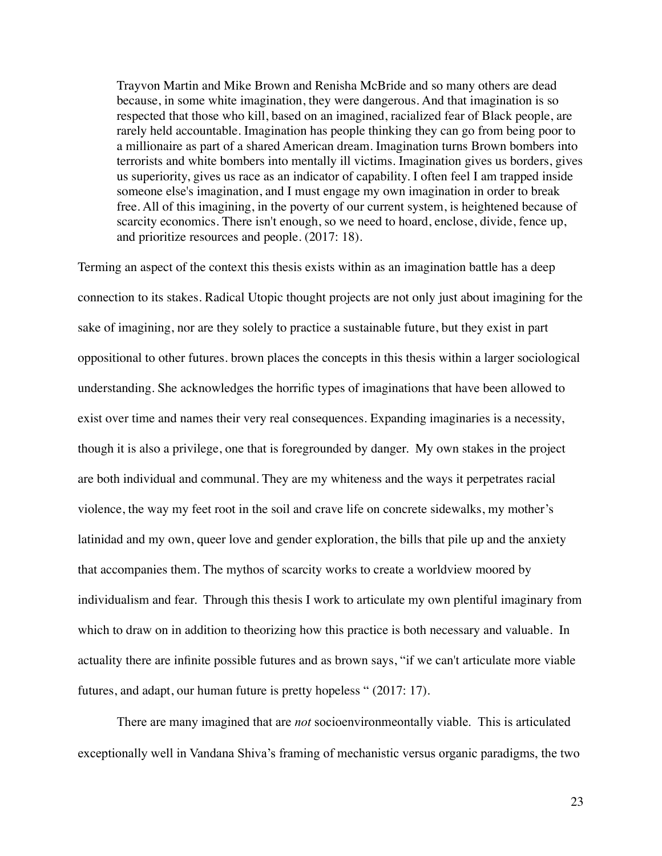Trayvon Martin and Mike Brown and Renisha McBride and so many others are dead because, in some white imagination, they were dangerous. And that imagination is so respected that those who kill, based on an imagined, racialized fear of Black people, are rarely held accountable. Imagination has people thinking they can go from being poor to a millionaire as part of a shared American dream. Imagination turns Brown bombers into terrorists and white bombers into mentally ill victims. Imagination gives us borders, gives us superiority, gives us race as an indicator of capability. I often feel I am trapped inside someone else's imagination, and I must engage my own imagination in order to break free. All of this imagining, in the poverty of our current system, is heightened because of scarcity economics. There isn't enough, so we need to hoard, enclose, divide, fence up, and prioritize resources and people. (2017: 18).

Terming an aspect of the context this thesis exists within as an imagination battle has a deep connection to its stakes. Radical Utopic thought projects are not only just about imagining for the sake of imagining, nor are they solely to practice a sustainable future, but they exist in part oppositional to other futures. brown places the concepts in this thesis within a larger sociological understanding. She acknowledges the horrific types of imaginations that have been allowed to exist over time and names their very real consequences. Expanding imaginaries is a necessity, though it is also a privilege, one that is foregrounded by danger. My own stakes in the project are both individual and communal. They are my whiteness and the ways it perpetrates racial violence, the way my feet root in the soil and crave life on concrete sidewalks, my mother's latinidad and my own, queer love and gender exploration, the bills that pile up and the anxiety that accompanies them. The mythos of scarcity works to create a worldview moored by individualism and fear. Through this thesis I work to articulate my own plentiful imaginary from which to draw on in addition to theorizing how this practice is both necessary and valuable. In actuality there are infinite possible futures and as brown says, "if we can't articulate more viable futures, and adapt, our human future is pretty hopeless " (2017: 17).

 There are many imagined that are *not* socioenvironmeontally viable. This is articulated exceptionally well in Vandana Shiva's framing of mechanistic versus organic paradigms, the two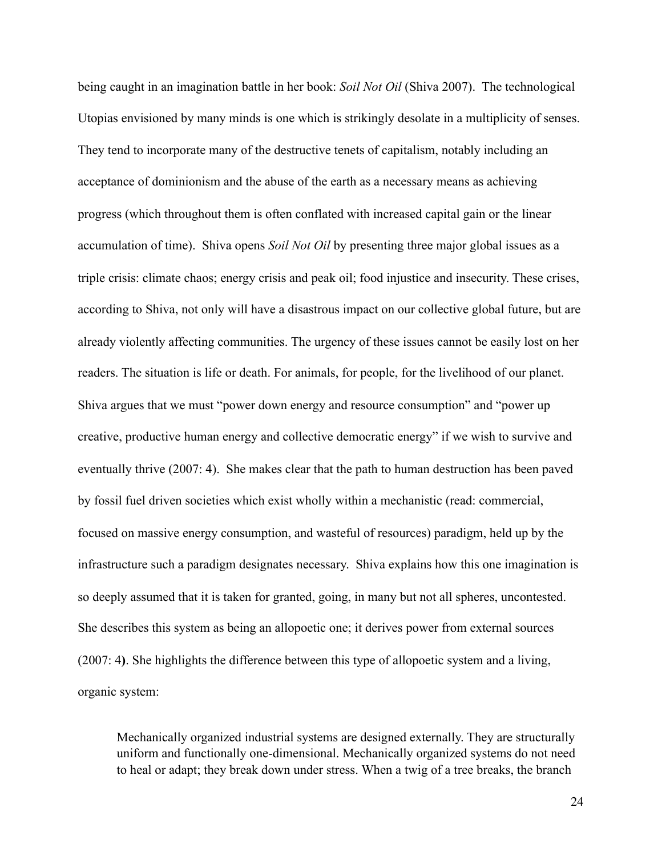being caught in an imagination battle in her book: *Soil Not Oil* (Shiva 2007). The technological Utopias envisioned by many minds is one which is strikingly desolate in a multiplicity of senses. They tend to incorporate many of the destructive tenets of capitalism, notably including an acceptance of dominionism and the abuse of the earth as a necessary means as achieving progress (which throughout them is often conflated with increased capital gain or the linear accumulation of time). Shiva opens *Soil Not Oil* by presenting three major global issues as a triple crisis: climate chaos; energy crisis and peak oil; food injustice and insecurity. These crises, according to Shiva, not only will have a disastrous impact on our collective global future, but are already violently affecting communities. The urgency of these issues cannot be easily lost on her readers. The situation is life or death. For animals, for people, for the livelihood of our planet. Shiva argues that we must "power down energy and resource consumption" and "power up creative, productive human energy and collective democratic energy" if we wish to survive and eventually thrive (2007: 4). She makes clear that the path to human destruction has been paved by fossil fuel driven societies which exist wholly within a mechanistic (read: commercial, focused on massive energy consumption, and wasteful of resources) paradigm, held up by the infrastructure such a paradigm designates necessary. Shiva explains how this one imagination is so deeply assumed that it is taken for granted, going, in many but not all spheres, uncontested. She describes this system as being an allopoetic one; it derives power from external sources (2007: 4**)**. She highlights the difference between this type of allopoetic system and a living, organic system:

 Mechanically organized industrial systems are designed externally. They are structurally uniform and functionally one-dimensional. Mechanically organized systems do not need to heal or adapt; they break down under stress. When a twig of a tree breaks, the branch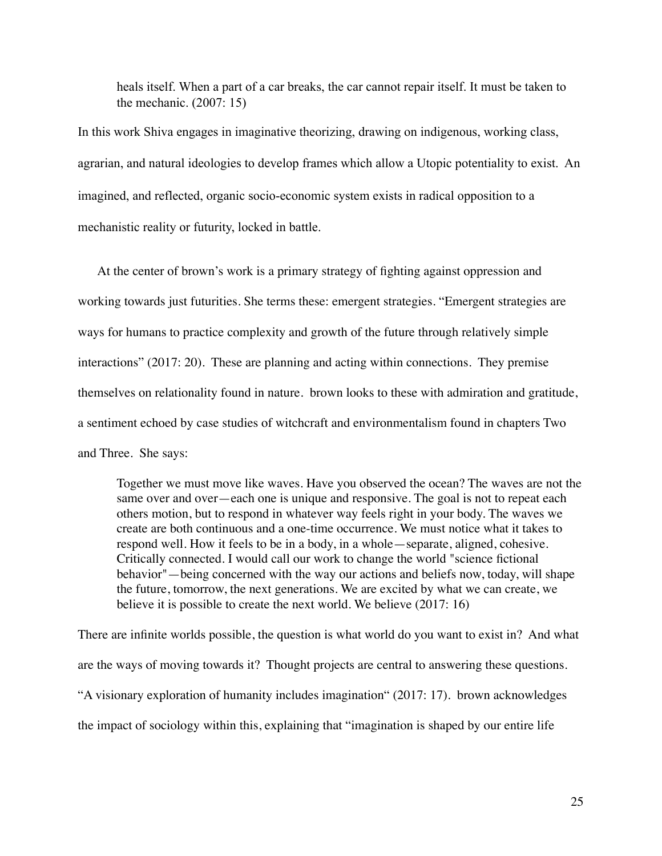heals itself. When a part of a car breaks, the car cannot repair itself. It must be taken to the mechanic. (2007: 15)

In this work Shiva engages in imaginative theorizing, drawing on indigenous, working class, agrarian, and natural ideologies to develop frames which allow a Utopic potentiality to exist. An imagined, and reflected, organic socio-economic system exists in radical opposition to a mechanistic reality or futurity, locked in battle.

At the center of brown's work is a primary strategy of fighting against oppression and working towards just futurities. She terms these: emergent strategies. "Emergent strategies are ways for humans to practice complexity and growth of the future through relatively simple interactions" (2017: 20). These are planning and acting within connections. They premise themselves on relationality found in nature. brown looks to these with admiration and gratitude, a sentiment echoed by case studies of witchcraft and environmentalism found in chapters Two and Three. She says:

Together we must move like waves. Have you observed the ocean? The waves are not the same over and over—each one is unique and responsive. The goal is not to repeat each others motion, but to respond in whatever way feels right in your body. The waves we create are both continuous and a one-time occurrence. We must notice what it takes to respond well. How it feels to be in a body, in a whole—separate, aligned, cohesive. Critically connected. I would call our work to change the world "science fictional behavior"—being concerned with the way our actions and beliefs now, today, will shape the future, tomorrow, the next generations. We are excited by what we can create, we believe it is possible to create the next world. We believe (2017: 16)

There are infinite worlds possible, the question is what world do you want to exist in? And what are the ways of moving towards it? Thought projects are central to answering these questions. "A visionary exploration of humanity includes imagination" (2017: 17). brown acknowledges the impact of sociology within this, explaining that "imagination is shaped by our entire life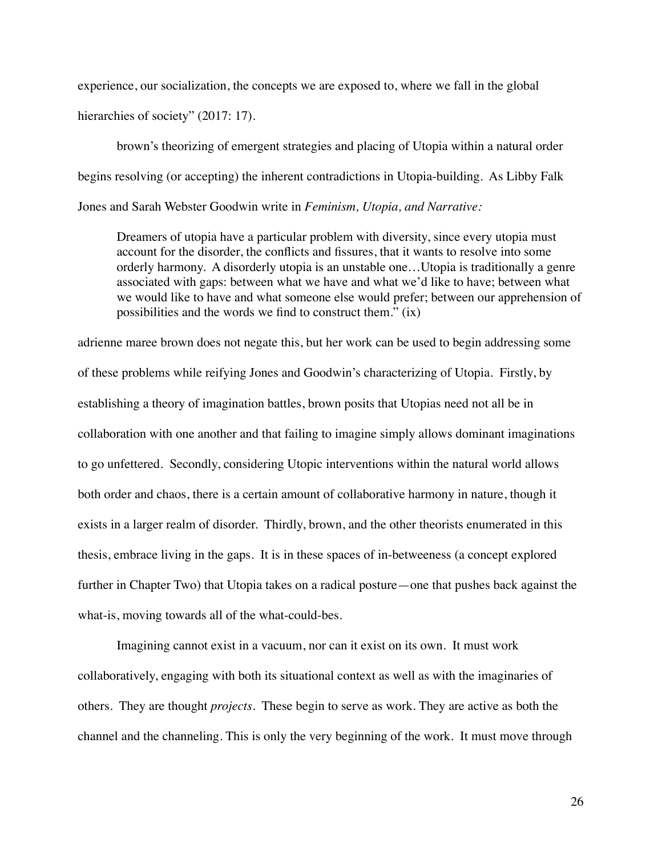experience, our socialization, the concepts we are exposed to, where we fall in the global hierarchies of society" (2017: 17).

brown's theorizing of emergent strategies and placing of Utopia within a natural order begins resolving (or accepting) the inherent contradictions in Utopia-building. As Libby Falk Jones and Sarah Webster Goodwin write in *Feminism, Utopia, and Narrative:*

Dreamers of utopia have a particular problem with diversity, since every utopia must account for the disorder, the conflicts and fissures, that it wants to resolve into some orderly harmony. A disorderly utopia is an unstable one…Utopia is traditionally a genre associated with gaps: between what we have and what we'd like to have; between what we would like to have and what someone else would prefer; between our apprehension of possibilities and the words we find to construct them." (ix)

adrienne maree brown does not negate this, but her work can be used to begin addressing some of these problems while reifying Jones and Goodwin's characterizing of Utopia. Firstly, by establishing a theory of imagination battles, brown posits that Utopias need not all be in collaboration with one another and that failing to imagine simply allows dominant imaginations to go unfettered. Secondly, considering Utopic interventions within the natural world allows both order and chaos, there is a certain amount of collaborative harmony in nature, though it exists in a larger realm of disorder. Thirdly, brown, and the other theorists enumerated in this thesis, embrace living in the gaps. It is in these spaces of in-betweeness (a concept explored further in Chapter Two) that Utopia takes on a radical posture—one that pushes back against the what-is, moving towards all of the what-could-bes.

Imagining cannot exist in a vacuum, nor can it exist on its own. It must work collaboratively, engaging with both its situational context as well as with the imaginaries of others. They are thought *projects*. These begin to serve as work. They are active as both the channel and the channeling. This is only the very beginning of the work. It must move through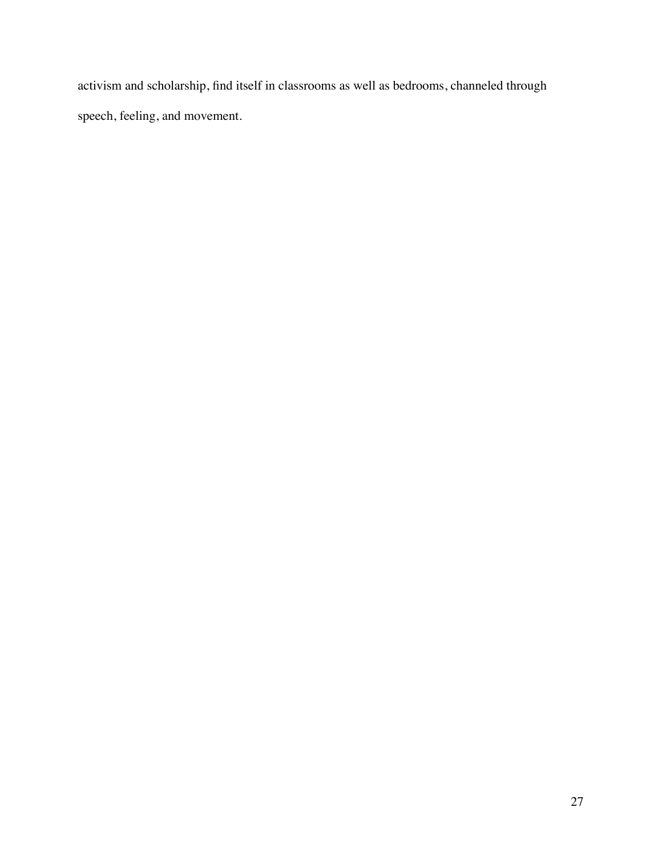activism and scholarship, find itself in classrooms as well as bedrooms, channeled through speech, feeling, and movement.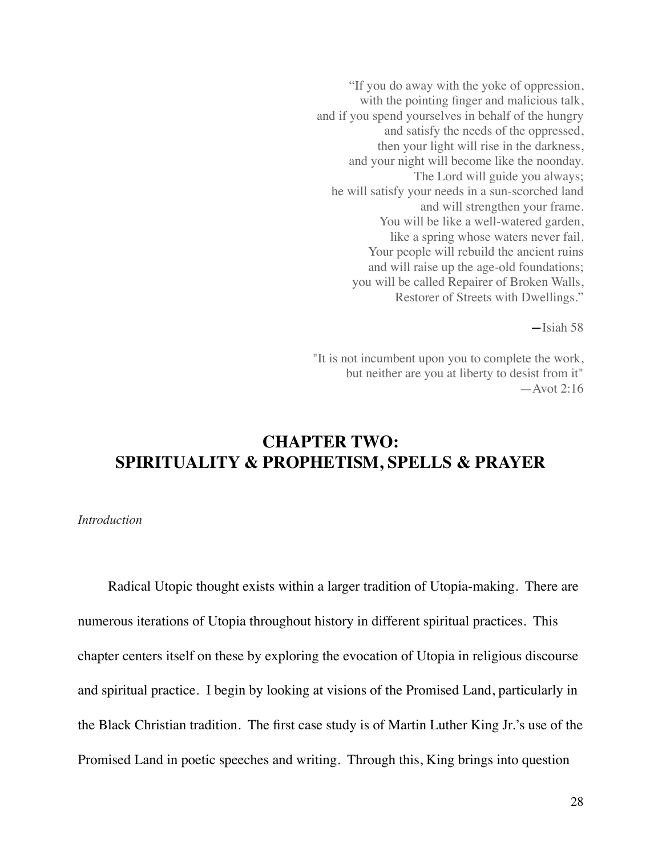"If you do away with the yoke of oppression, with the pointing finger and malicious talk, and if you spend yourselves in behalf of the hungry and satisfy the needs of the oppressed, then your light will rise in the darkness, and your night will become like the noonday. The Lord will guide you always; he will satisfy your needs in a sun-scorched land and will strengthen your frame. You will be like a well-watered garden, like a spring whose waters never fail. Your people will rebuild the ancient ruins and will raise up the age-old foundations; you will be called Repairer of Broken Walls, Restorer of Streets with Dwellings."

 —Isiah 58

"It is not incumbent upon you to complete the work, but neither are you at liberty to desist from it" —Avot 2:16

# **CHAPTER TWO: SPIRITUALITY & PROPHETISM, SPELLS & PRAYER**

*Introduction*

Radical Utopic thought exists within a larger tradition of Utopia-making. There are numerous iterations of Utopia throughout history in different spiritual practices. This chapter centers itself on these by exploring the evocation of Utopia in religious discourse and spiritual practice. I begin by looking at visions of the Promised Land, particularly in the Black Christian tradition. The first case study is of Martin Luther King Jr.'s use of the Promised Land in poetic speeches and writing. Through this, King brings into question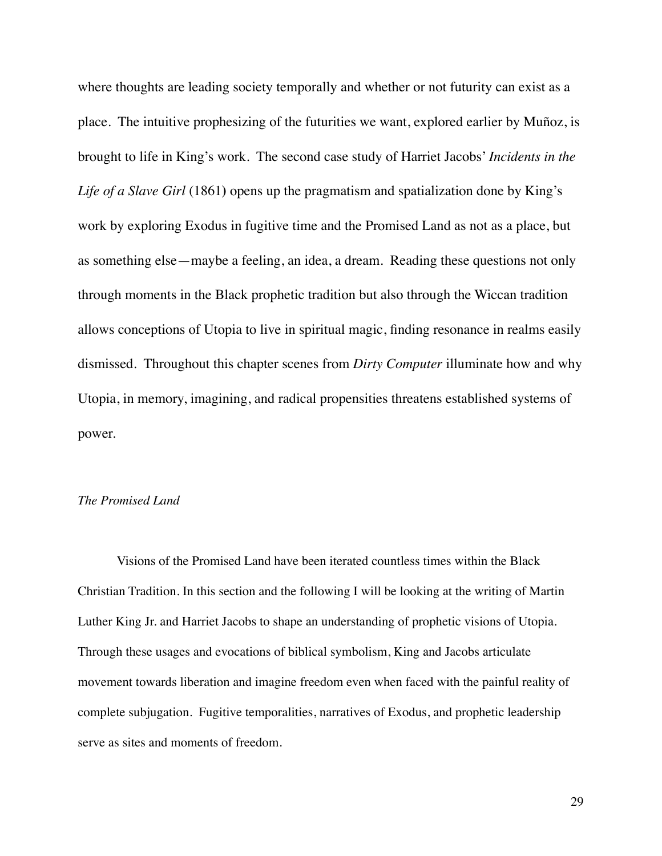where thoughts are leading society temporally and whether or not futurity can exist as a place. The intuitive prophesizing of the futurities we want, explored earlier by Muñoz, is brought to life in King's work. The second case study of Harriet Jacobs' *Incidents in the Life of a Slave Girl* (1861**)** opens up the pragmatism and spatialization done by King's work by exploring Exodus in fugitive time and the Promised Land as not as a place, but as something else—maybe a feeling, an idea, a dream. Reading these questions not only through moments in the Black prophetic tradition but also through the Wiccan tradition allows conceptions of Utopia to live in spiritual magic, finding resonance in realms easily dismissed. Throughout this chapter scenes from *Dirty Computer* illuminate how and why Utopia, in memory, imagining, and radical propensities threatens established systems of power.

# *The Promised Land*

Visions of the Promised Land have been iterated countless times within the Black Christian Tradition. In this section and the following I will be looking at the writing of Martin Luther King Jr. and Harriet Jacobs to shape an understanding of prophetic visions of Utopia. Through these usages and evocations of biblical symbolism, King and Jacobs articulate movement towards liberation and imagine freedom even when faced with the painful reality of complete subjugation. Fugitive temporalities, narratives of Exodus, and prophetic leadership serve as sites and moments of freedom.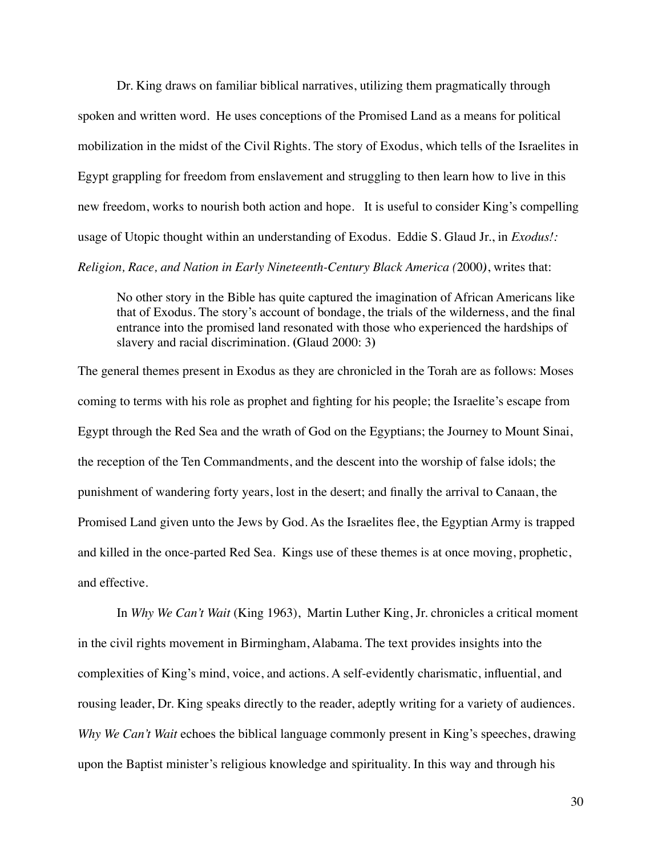Dr. King draws on familiar biblical narratives, utilizing them pragmatically through spoken and written word. He uses conceptions of the Promised Land as a means for political mobilization in the midst of the Civil Rights. The story of Exodus, which tells of the Israelites in Egypt grappling for freedom from enslavement and struggling to then learn how to live in this new freedom, works to nourish both action and hope. It is useful to consider King's compelling usage of Utopic thought within an understanding of Exodus. Eddie S. Glaud Jr., in *Exodus!: Religion, Race, and Nation in Early Nineteenth-Century Black America (*2000*)*, writes that:

No other story in the Bible has quite captured the imagination of African Americans like that of Exodus. The story's account of bondage, the trials of the wilderness, and the final entrance into the promised land resonated with those who experienced the hardships of slavery and racial discrimination. **(**Glaud 2000: 3**)**

The general themes present in Exodus as they are chronicled in the Torah are as follows: Moses coming to terms with his role as prophet and fighting for his people; the Israelite's escape from Egypt through the Red Sea and the wrath of God on the Egyptians; the Journey to Mount Sinai, the reception of the Ten Commandments, and the descent into the worship of false idols; the punishment of wandering forty years, lost in the desert; and finally the arrival to Canaan, the Promised Land given unto the Jews by God. As the Israelites flee, the Egyptian Army is trapped and killed in the once-parted Red Sea. Kings use of these themes is at once moving, prophetic, and effective.

In *Why We Can't Wait* (King 1963), Martin Luther King, Jr. chronicles a critical moment in the civil rights movement in Birmingham, Alabama. The text provides insights into the complexities of King's mind, voice, and actions. A self-evidently charismatic, influential, and rousing leader, Dr. King speaks directly to the reader, adeptly writing for a variety of audiences. *Why We Can't Wait* echoes the biblical language commonly present in King's speeches, drawing upon the Baptist minister's religious knowledge and spirituality. In this way and through his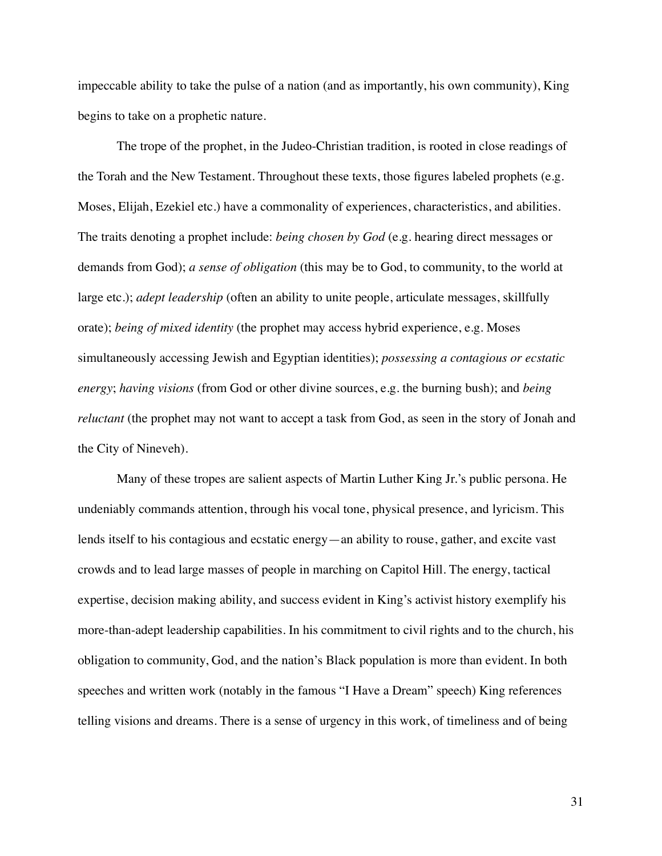impeccable ability to take the pulse of a nation (and as importantly, his own community), King begins to take on a prophetic nature.

The trope of the prophet, in the Judeo-Christian tradition, is rooted in close readings of the Torah and the New Testament. Throughout these texts, those figures labeled prophets (e.g. Moses, Elijah, Ezekiel etc.) have a commonality of experiences, characteristics, and abilities. The traits denoting a prophet include: *being chosen by God* (e.g. hearing direct messages or demands from God); *a sense of obligation* (this may be to God, to community, to the world at large etc.); *adept leadership* (often an ability to unite people, articulate messages, skillfully orate); *being of mixed identity* (the prophet may access hybrid experience, e.g. Moses simultaneously accessing Jewish and Egyptian identities); *possessing a contagious or ecstatic energy*; *having visions* (from God or other divine sources, e.g. the burning bush); and *being reluctant* (the prophet may not want to accept a task from God, as seen in the story of Jonah and the City of Nineveh).

Many of these tropes are salient aspects of Martin Luther King Jr.'s public persona. He undeniably commands attention, through his vocal tone, physical presence, and lyricism. This lends itself to his contagious and ecstatic energy—an ability to rouse, gather, and excite vast crowds and to lead large masses of people in marching on Capitol Hill. The energy, tactical expertise, decision making ability, and success evident in King's activist history exemplify his more-than-adept leadership capabilities. In his commitment to civil rights and to the church, his obligation to community, God, and the nation's Black population is more than evident. In both speeches and written work (notably in the famous "I Have a Dream" speech) King references telling visions and dreams. There is a sense of urgency in this work, of timeliness and of being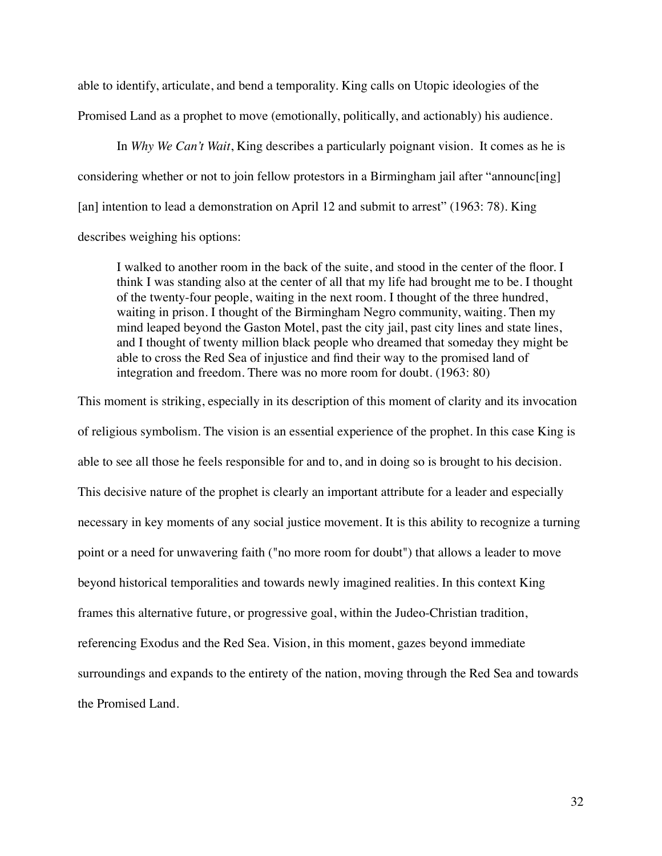able to identify, articulate, and bend a temporality. King calls on Utopic ideologies of the Promised Land as a prophet to move (emotionally, politically, and actionably) his audience.

In *Why We Can't Wait*, King describes a particularly poignant vision. It comes as he is considering whether or not to join fellow protestors in a Birmingham jail after "announc[ing] [an] intention to lead a demonstration on April 12 and submit to arrest" (1963: 78). King describes weighing his options:

I walked to another room in the back of the suite, and stood in the center of the floor. I think I was standing also at the center of all that my life had brought me to be. I thought of the twenty-four people, waiting in the next room. I thought of the three hundred, waiting in prison. I thought of the Birmingham Negro community, waiting. Then my mind leaped beyond the Gaston Motel, past the city jail, past city lines and state lines, and I thought of twenty million black people who dreamed that someday they might be able to cross the Red Sea of injustice and find their way to the promised land of integration and freedom. There was no more room for doubt. (1963: 80)

This moment is striking, especially in its description of this moment of clarity and its invocation of religious symbolism. The vision is an essential experience of the prophet. In this case King is able to see all those he feels responsible for and to, and in doing so is brought to his decision. This decisive nature of the prophet is clearly an important attribute for a leader and especially necessary in key moments of any social justice movement. It is this ability to recognize a turning point or a need for unwavering faith ("no more room for doubt") that allows a leader to move beyond historical temporalities and towards newly imagined realities. In this context King frames this alternative future, or progressive goal, within the Judeo-Christian tradition, referencing Exodus and the Red Sea. Vision, in this moment, gazes beyond immediate surroundings and expands to the entirety of the nation, moving through the Red Sea and towards the Promised Land.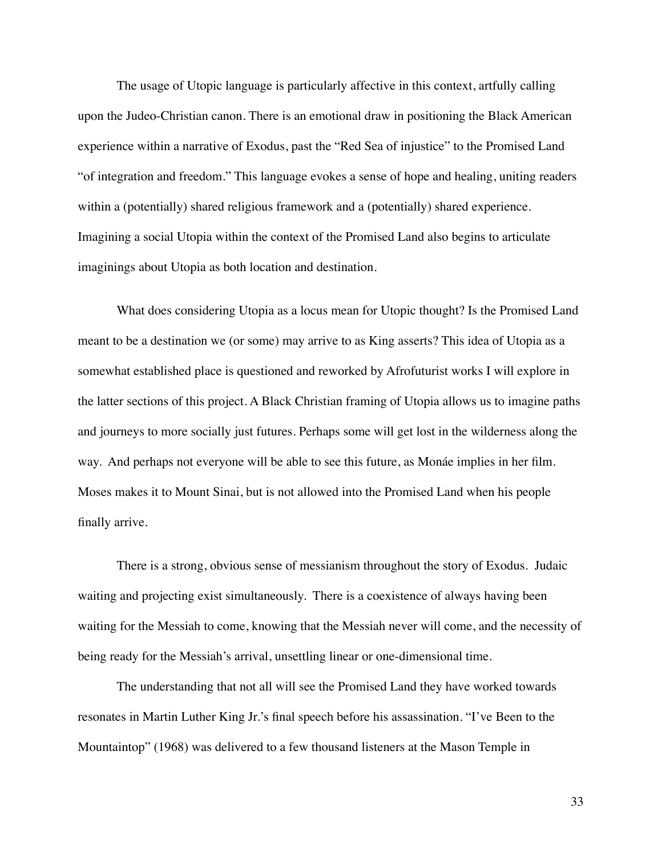The usage of Utopic language is particularly affective in this context, artfully calling upon the Judeo-Christian canon. There is an emotional draw in positioning the Black American experience within a narrative of Exodus, past the "Red Sea of injustice" to the Promised Land "of integration and freedom." This language evokes a sense of hope and healing, uniting readers within a (potentially) shared religious framework and a (potentially) shared experience. Imagining a social Utopia within the context of the Promised Land also begins to articulate imaginings about Utopia as both location and destination.

What does considering Utopia as a locus mean for Utopic thought? Is the Promised Land meant to be a destination we (or some) may arrive to as King asserts? This idea of Utopia as a somewhat established place is questioned and reworked by Afrofuturist works I will explore in the latter sections of this project. A Black Christian framing of Utopia allows us to imagine paths and journeys to more socially just futures. Perhaps some will get lost in the wilderness along the way. And perhaps not everyone will be able to see this future, as Monáe implies in her film. Moses makes it to Mount Sinai, but is not allowed into the Promised Land when his people finally arrive.

There is a strong, obvious sense of messianism throughout the story of Exodus. Judaic waiting and projecting exist simultaneously. There is a coexistence of always having been waiting for the Messiah to come, knowing that the Messiah never will come, and the necessity of being ready for the Messiah's arrival, unsettling linear or one-dimensional time.

The understanding that not all will see the Promised Land they have worked towards resonates in Martin Luther King Jr.'s final speech before his assassination. "I've Been to the Mountaintop" (1968) was delivered to a few thousand listeners at the Mason Temple in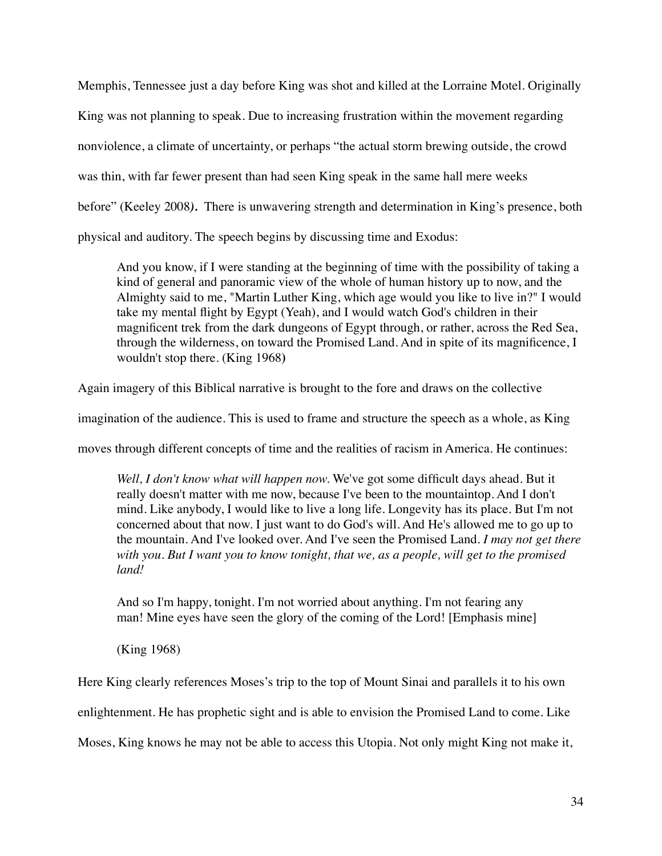Memphis, Tennessee just a day before King was shot and killed at the Lorraine Motel. Originally King was not planning to speak. Due to increasing frustration within the movement regarding nonviolence, a climate of uncertainty, or perhaps "the actual storm brewing outside, the crowd was thin, with far fewer present than had seen King speak in the same hall mere weeks before" (Keeley 2008*).* There is unwavering strength and determination in King's presence, both physical and auditory. The speech begins by discussing time and Exodus:

And you know, if I were standing at the beginning of time with the possibility of taking a kind of general and panoramic view of the whole of human history up to now, and the Almighty said to me, "Martin Luther King, which age would you like to live in?" I would take my mental flight by Egypt (Yeah), and I would watch God's children in their magnificent trek from the dark dungeons of Egypt through, or rather, across the Red Sea, through the wilderness, on toward the Promised Land. And in spite of its magnificence, I wouldn't stop there. (King 1968**)**

Again imagery of this Biblical narrative is brought to the fore and draws on the collective

imagination of the audience. This is used to frame and structure the speech as a whole, as King

moves through different concepts of time and the realities of racism in America. He continues:

*Well, I don't know what will happen now.* We've got some difficult days ahead. But it really doesn't matter with me now, because I've been to the mountaintop. And I don't mind. Like anybody, I would like to live a long life. Longevity has its place. But I'm not concerned about that now. I just want to do God's will. And He's allowed me to go up to the mountain. And I've looked over. And I've seen the Promised Land. *I may not get there with you. But I want you to know tonight, that we, as a people, will get to the promised land!*

And so I'm happy, tonight. I'm not worried about anything. I'm not fearing any man! Mine eyes have seen the glory of the coming of the Lord! [Emphasis mine]

(King 1968)

Here King clearly references Moses's trip to the top of Mount Sinai and parallels it to his own enlightenment. He has prophetic sight and is able to envision the Promised Land to come. Like Moses, King knows he may not be able to access this Utopia. Not only might King not make it,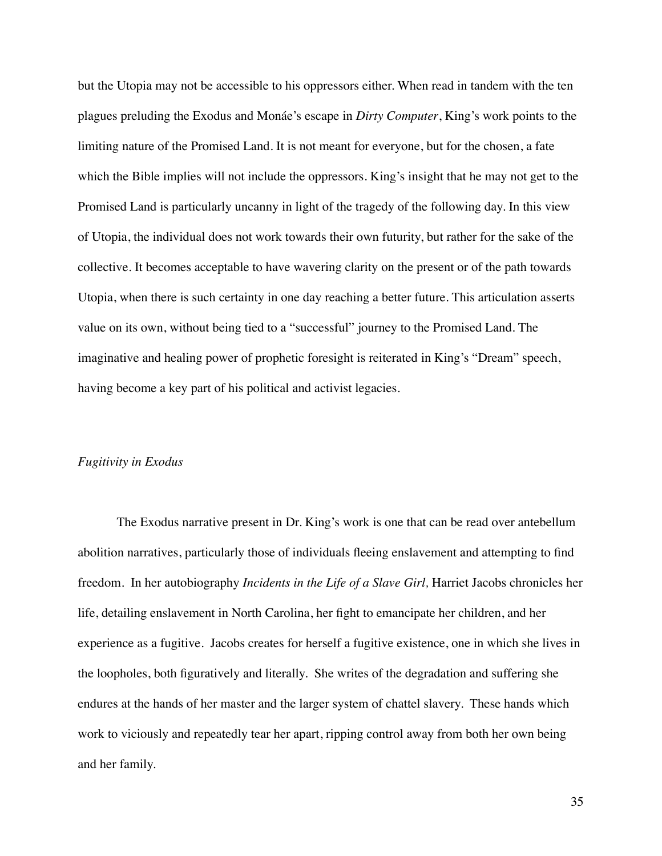but the Utopia may not be accessible to his oppressors either. When read in tandem with the ten plagues preluding the Exodus and Monáe's escape in *Dirty Computer*, King's work points to the limiting nature of the Promised Land. It is not meant for everyone, but for the chosen, a fate which the Bible implies will not include the oppressors. King's insight that he may not get to the Promised Land is particularly uncanny in light of the tragedy of the following day. In this view of Utopia, the individual does not work towards their own futurity, but rather for the sake of the collective. It becomes acceptable to have wavering clarity on the present or of the path towards Utopia, when there is such certainty in one day reaching a better future. This articulation asserts value on its own, without being tied to a "successful" journey to the Promised Land. The imaginative and healing power of prophetic foresight is reiterated in King's "Dream" speech, having become a key part of his political and activist legacies.

#### *Fugitivity in Exodus*

The Exodus narrative present in Dr. King's work is one that can be read over antebellum abolition narratives, particularly those of individuals fleeing enslavement and attempting to find freedom. In her autobiography *Incidents in the Life of a Slave Girl,* Harriet Jacobs chronicles her life, detailing enslavement in North Carolina, her fight to emancipate her children, and her experience as a fugitive. Jacobs creates for herself a fugitive existence, one in which she lives in the loopholes, both figuratively and literally. She writes of the degradation and suffering she endures at the hands of her master and the larger system of chattel slavery. These hands which work to viciously and repeatedly tear her apart, ripping control away from both her own being and her family.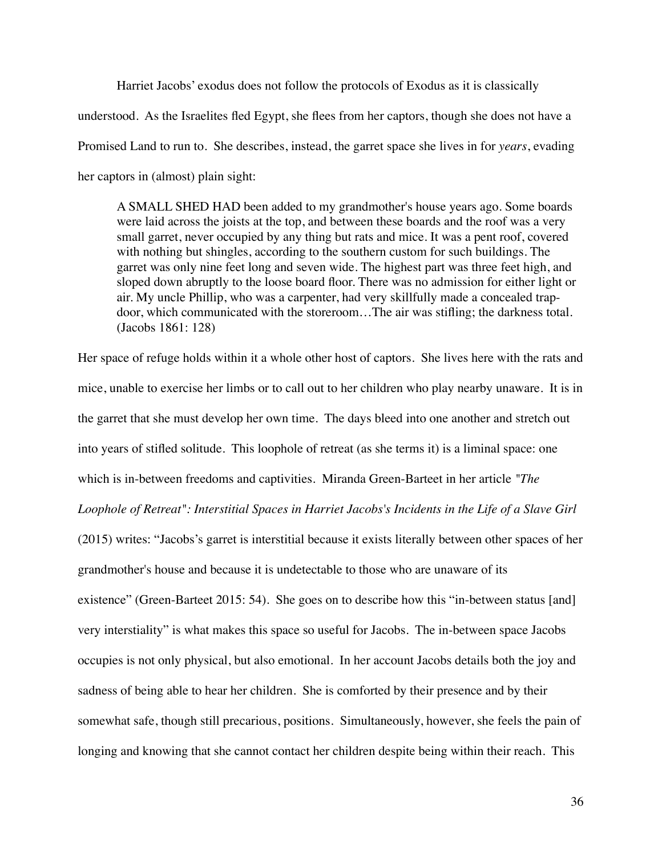Harriet Jacobs' exodus does not follow the protocols of Exodus as it is classically understood. As the Israelites fled Egypt, she flees from her captors, though she does not have a Promised Land to run to. She describes, instead, the garret space she lives in for *years*, evading her captors in (almost) plain sight:

A SMALL SHED HAD been added to my grandmother's house years ago. Some boards were laid across the joists at the top, and between these boards and the roof was a very small garret, never occupied by any thing but rats and mice. It was a pent roof, covered with nothing but shingles, according to the southern custom for such buildings. The garret was only nine feet long and seven wide. The highest part was three feet high, and sloped down abruptly to the loose board floor. There was no admission for either light or air. My uncle Phillip, who was a carpenter, had very skillfully made a concealed trapdoor, which communicated with the storeroom…The air was stifling; the darkness total. (Jacobs 1861: 128)

Her space of refuge holds within it a whole other host of captors. She lives here with the rats and mice, unable to exercise her limbs or to call out to her children who play nearby unaware. It is in the garret that she must develop her own time. The days bleed into one another and stretch out into years of stifled solitude. This loophole of retreat (as she terms it) is a liminal space: one which is in-between freedoms and captivities. Miranda Green-Barteet in her article *"The Loophole of Retreat": Interstitial Spaces in Harriet Jacobs's Incidents in the Life of a Slave Girl* (2015) writes: "Jacobs's garret is interstitial because it exists literally between other spaces of her grandmother's house and because it is undetectable to those who are unaware of its existence" (Green-Barteet 2015: 54). She goes on to describe how this "in-between status [and] very interstiality" is what makes this space so useful for Jacobs. The in-between space Jacobs occupies is not only physical, but also emotional. In her account Jacobs details both the joy and sadness of being able to hear her children. She is comforted by their presence and by their somewhat safe, though still precarious, positions. Simultaneously, however, she feels the pain of longing and knowing that she cannot contact her children despite being within their reach. This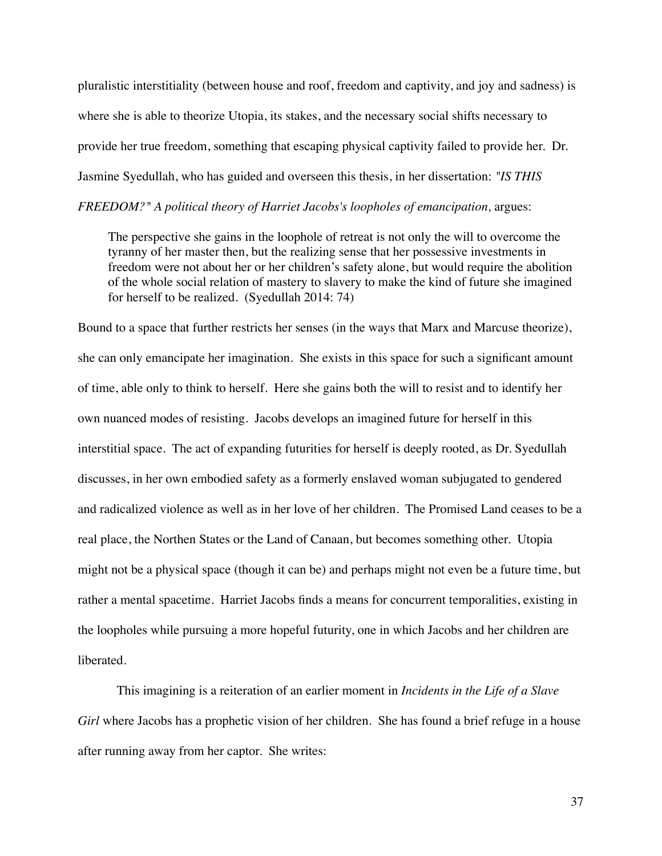pluralistic interstitiality (between house and roof, freedom and captivity, and joy and sadness) is where she is able to theorize Utopia, its stakes, and the necessary social shifts necessary to provide her true freedom, something that escaping physical captivity failed to provide her. Dr. Jasmine Syedullah, who has guided and overseen this thesis, in her dissertation: *"IS THIS FREEDOM?" A political theory of Harriet Jacobs's loopholes of emancipation, argues:* 

The perspective she gains in the loophole of retreat is not only the will to overcome the tyranny of her master then, but the realizing sense that her possessive investments in freedom were not about her or her children's safety alone, but would require the abolition of the whole social relation of mastery to slavery to make the kind of future she imagined for herself to be realized. (Syedullah 2014: 74)

Bound to a space that further restricts her senses (in the ways that Marx and Marcuse theorize), she can only emancipate her imagination. She exists in this space for such a significant amount of time, able only to think to herself. Here she gains both the will to resist and to identify her own nuanced modes of resisting. Jacobs develops an imagined future for herself in this interstitial space. The act of expanding futurities for herself is deeply rooted, as Dr. Syedullah discusses, in her own embodied safety as a formerly enslaved woman subjugated to gendered and radicalized violence as well as in her love of her children. The Promised Land ceases to be a real place, the Northen States or the Land of Canaan, but becomes something other. Utopia might not be a physical space (though it can be) and perhaps might not even be a future time, but rather a mental spacetime. Harriet Jacobs finds a means for concurrent temporalities, existing in the loopholes while pursuing a more hopeful futurity, one in which Jacobs and her children are liberated.

This imagining is a reiteration of an earlier moment in *Incidents in the Life of a Slave Girl* where Jacobs has a prophetic vision of her children. She has found a brief refuge in a house after running away from her captor. She writes: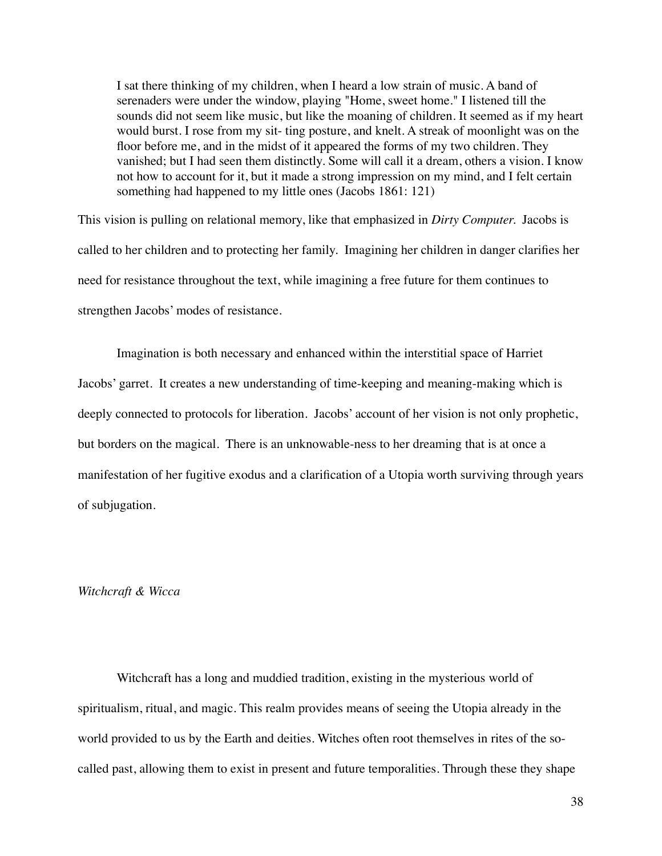I sat there thinking of my children, when I heard a low strain of music. A band of serenaders were under the window, playing "Home, sweet home." I listened till the sounds did not seem like music, but like the moaning of children. It seemed as if my heart would burst. I rose from my sit- ting posture, and knelt. A streak of moonlight was on the floor before me, and in the midst of it appeared the forms of my two children. They vanished; but I had seen them distinctly. Some will call it a dream, others a vision. I know not how to account for it, but it made a strong impression on my mind, and I felt certain something had happened to my little ones (Jacobs 1861: 121)

This vision is pulling on relational memory, like that emphasized in *Dirty Computer.* Jacobs is called to her children and to protecting her family. Imagining her children in danger clarifies her need for resistance throughout the text, while imagining a free future for them continues to strengthen Jacobs' modes of resistance.

Imagination is both necessary and enhanced within the interstitial space of Harriet Jacobs' garret. It creates a new understanding of time-keeping and meaning-making which is deeply connected to protocols for liberation. Jacobs' account of her vision is not only prophetic, but borders on the magical. There is an unknowable-ness to her dreaming that is at once a manifestation of her fugitive exodus and a clarification of a Utopia worth surviving through years of subjugation.

### *Witchcraft & Wicca*

Witchcraft has a long and muddied tradition, existing in the mysterious world of spiritualism, ritual, and magic. This realm provides means of seeing the Utopia already in the world provided to us by the Earth and deities. Witches often root themselves in rites of the socalled past, allowing them to exist in present and future temporalities. Through these they shape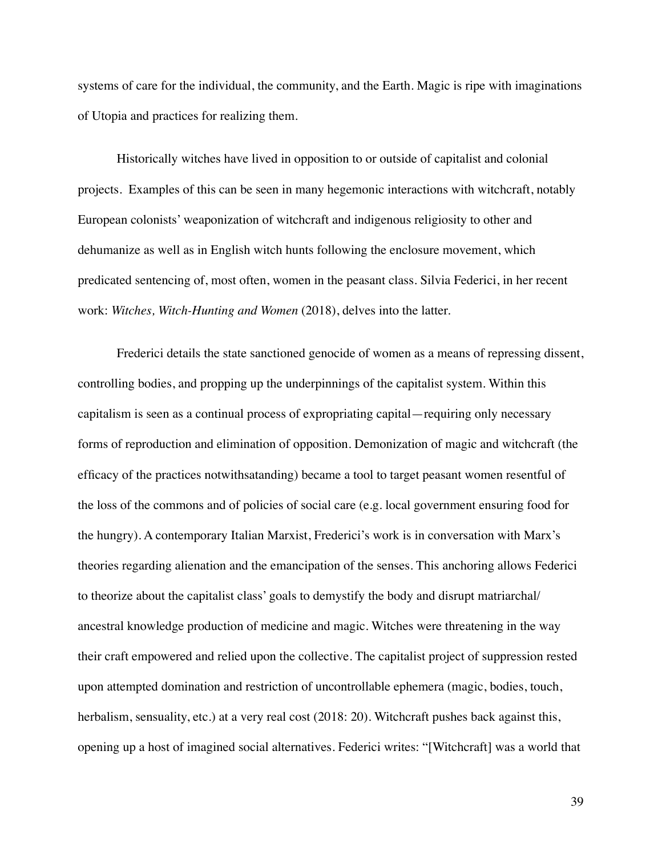systems of care for the individual, the community, and the Earth. Magic is ripe with imaginations of Utopia and practices for realizing them.

Historically witches have lived in opposition to or outside of capitalist and colonial projects. Examples of this can be seen in many hegemonic interactions with witchcraft, notably European colonists' weaponization of witchcraft and indigenous religiosity to other and dehumanize as well as in English witch hunts following the enclosure movement, which predicated sentencing of, most often, women in the peasant class. Silvia Federici, in her recent work: *Witches, Witch-Hunting and Women* (2018), delves into the latter.

Frederici details the state sanctioned genocide of women as a means of repressing dissent, controlling bodies, and propping up the underpinnings of the capitalist system. Within this capitalism is seen as a continual process of expropriating capital—requiring only necessary forms of reproduction and elimination of opposition. Demonization of magic and witchcraft (the efficacy of the practices notwithsatanding) became a tool to target peasant women resentful of the loss of the commons and of policies of social care (e.g. local government ensuring food for the hungry). A contemporary Italian Marxist, Frederici's work is in conversation with Marx's theories regarding alienation and the emancipation of the senses. This anchoring allows Federici to theorize about the capitalist class' goals to demystify the body and disrupt matriarchal/ ancestral knowledge production of medicine and magic. Witches were threatening in the way their craft empowered and relied upon the collective. The capitalist project of suppression rested upon attempted domination and restriction of uncontrollable ephemera (magic, bodies, touch, herbalism, sensuality, etc.) at a very real cost (2018: 20). Witchcraft pushes back against this, opening up a host of imagined social alternatives. Federici writes: "[Witchcraft] was a world that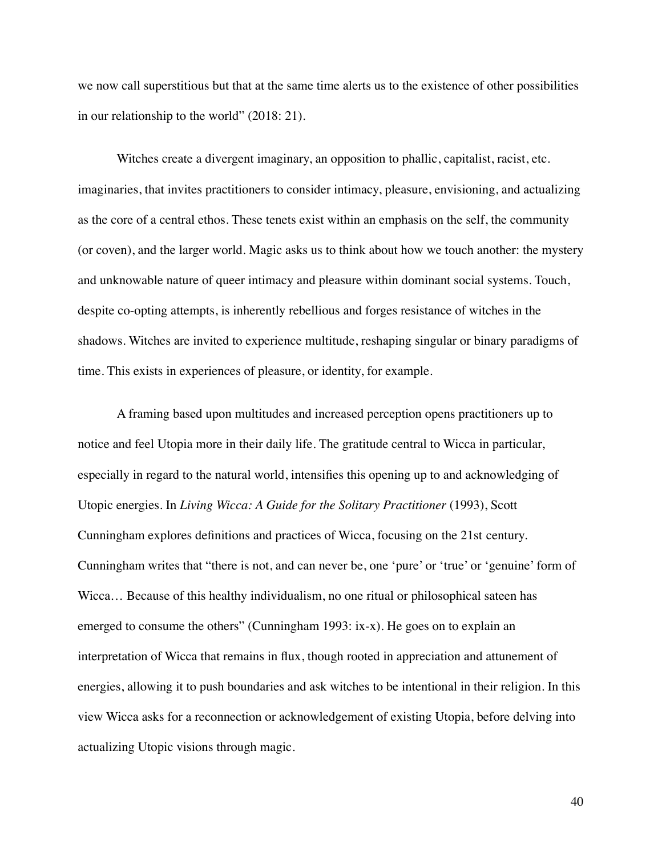we now call superstitious but that at the same time alerts us to the existence of other possibilities in our relationship to the world" (2018: 21).

Witches create a divergent imaginary, an opposition to phallic, capitalist, racist, etc. imaginaries, that invites practitioners to consider intimacy, pleasure, envisioning, and actualizing as the core of a central ethos. These tenets exist within an emphasis on the self, the community (or coven), and the larger world. Magic asks us to think about how we touch another: the mystery and unknowable nature of queer intimacy and pleasure within dominant social systems. Touch, despite co-opting attempts, is inherently rebellious and forges resistance of witches in the shadows. Witches are invited to experience multitude, reshaping singular or binary paradigms of time. This exists in experiences of pleasure, or identity, for example.

A framing based upon multitudes and increased perception opens practitioners up to notice and feel Utopia more in their daily life. The gratitude central to Wicca in particular, especially in regard to the natural world, intensifies this opening up to and acknowledging of Utopic energies. In *Living Wicca: A Guide for the Solitary Practitioner* (1993), Scott Cunningham explores definitions and practices of Wicca, focusing on the 21st century. Cunningham writes that "there is not, and can never be, one 'pure' or 'true' or 'genuine' form of Wicca… Because of this healthy individualism, no one ritual or philosophical sateen has emerged to consume the others" (Cunningham 1993: ix-x). He goes on to explain an interpretation of Wicca that remains in flux, though rooted in appreciation and attunement of energies, allowing it to push boundaries and ask witches to be intentional in their religion. In this view Wicca asks for a reconnection or acknowledgement of existing Utopia, before delving into actualizing Utopic visions through magic.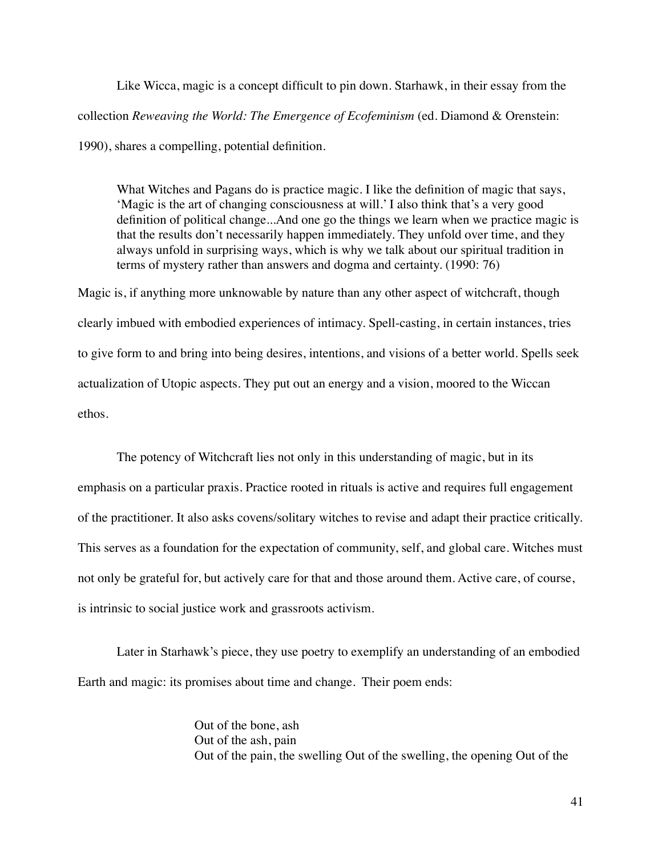Like Wicca, magic is a concept difficult to pin down. Starhawk, in their essay from the collection *Reweaving the World: The Emergence of Ecofeminism* (ed. Diamond & Orenstein: 1990), shares a compelling, potential definition.

What Witches and Pagans do is practice magic. I like the definition of magic that says, 'Magic is the art of changing consciousness at will.' I also think that's a very good definition of political change...And one go the things we learn when we practice magic is that the results don't necessarily happen immediately. They unfold over time, and they always unfold in surprising ways, which is why we talk about our spiritual tradition in terms of mystery rather than answers and dogma and certainty. (1990: 76)

Magic is, if anything more unknowable by nature than any other aspect of witchcraft, though clearly imbued with embodied experiences of intimacy. Spell-casting, in certain instances, tries to give form to and bring into being desires, intentions, and visions of a better world. Spells seek actualization of Utopic aspects. They put out an energy and a vision, moored to the Wiccan ethos.

The potency of Witchcraft lies not only in this understanding of magic, but in its emphasis on a particular praxis. Practice rooted in rituals is active and requires full engagement of the practitioner. It also asks covens/solitary witches to revise and adapt their practice critically. This serves as a foundation for the expectation of community, self, and global care. Witches must not only be grateful for, but actively care for that and those around them. Active care, of course, is intrinsic to social justice work and grassroots activism.

Later in Starhawk's piece, they use poetry to exemplify an understanding of an embodied Earth and magic: its promises about time and change. Their poem ends:

> Out of the bone, ash Out of the ash, pain Out of the pain, the swelling Out of the swelling, the opening Out of the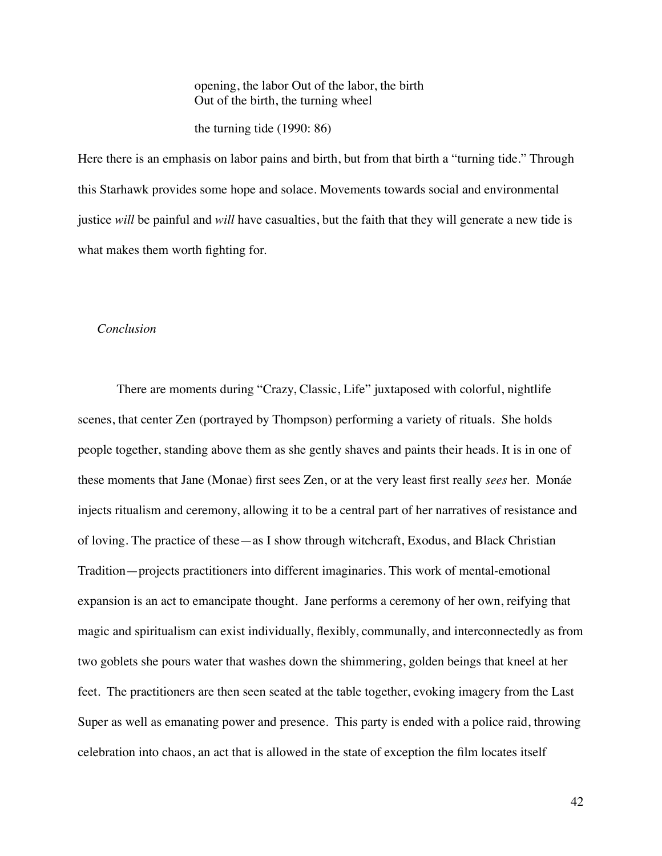opening, the labor Out of the labor, the birth Out of the birth, the turning wheel

the turning tide (1990: 86)

Here there is an emphasis on labor pains and birth, but from that birth a "turning tide." Through this Starhawk provides some hope and solace. Movements towards social and environmental justice *will* be painful and *will* have casualties, but the faith that they will generate a new tide is what makes them worth fighting for.

### *Conclusion*

There are moments during "Crazy, Classic, Life" juxtaposed with colorful, nightlife scenes, that center Zen (portrayed by Thompson) performing a variety of rituals. She holds people together, standing above them as she gently shaves and paints their heads. It is in one of these moments that Jane (Monae) first sees Zen, or at the very least first really *sees* her. Monáe injects ritualism and ceremony, allowing it to be a central part of her narratives of resistance and of loving. The practice of these—as I show through witchcraft, Exodus, and Black Christian Tradition—projects practitioners into different imaginaries. This work of mental-emotional expansion is an act to emancipate thought. Jane performs a ceremony of her own, reifying that magic and spiritualism can exist individually, flexibly, communally, and interconnectedly as from two goblets she pours water that washes down the shimmering, golden beings that kneel at her feet. The practitioners are then seen seated at the table together, evoking imagery from the Last Super as well as emanating power and presence. This party is ended with a police raid, throwing celebration into chaos, an act that is allowed in the state of exception the film locates itself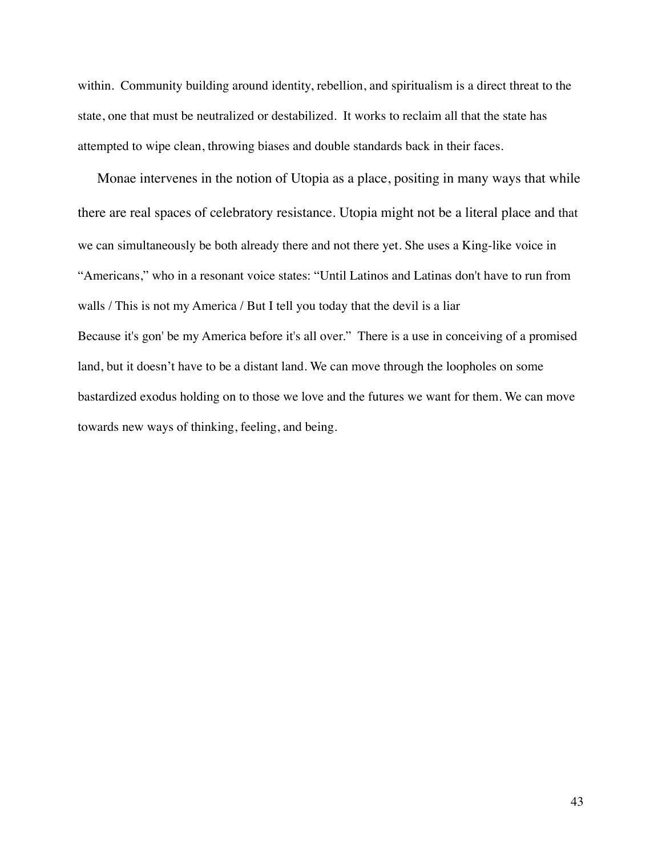within. Community building around identity, rebellion, and spiritualism is a direct threat to the state, one that must be neutralized or destabilized. It works to reclaim all that the state has attempted to wipe clean, throwing biases and double standards back in their faces.

Monae intervenes in the notion of Utopia as a place, positing in many ways that while there are real spaces of celebratory resistance. Utopia might not be a literal place and that we can simultaneously be both already there and not there yet. She uses a King-like voice in "Americans," who in a resonant voice states: "Until Latinos and Latinas don't have to run from walls / This is not my America / But I tell you today that the devil is a liar Because it's gon' be my America before it's all over." There is a use in conceiving of a promised land, but it doesn't have to be a distant land. We can move through the loopholes on some bastardized exodus holding on to those we love and the futures we want for them. We can move towards new ways of thinking, feeling, and being.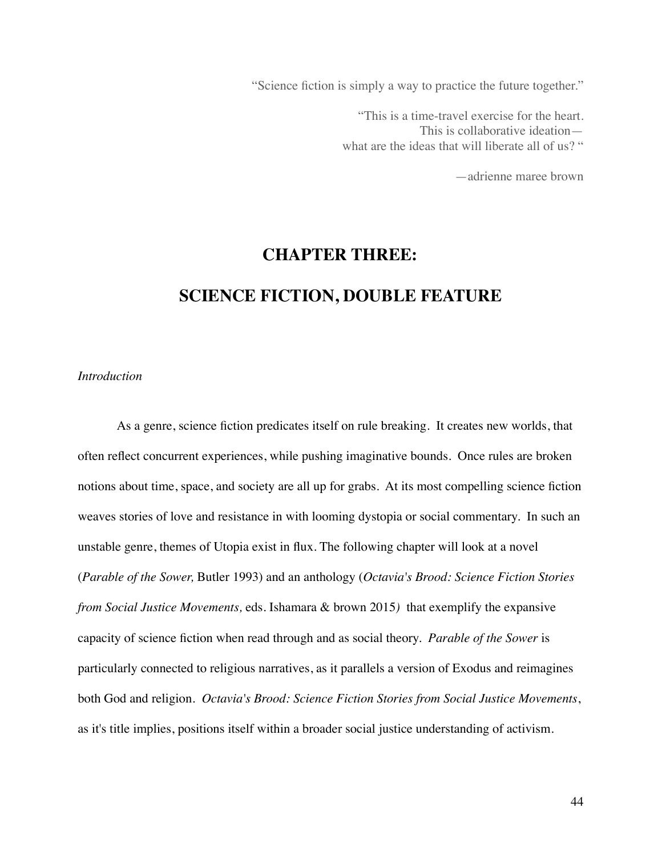"Science fiction is simply a way to practice the future together."

"This is a time-travel exercise for the heart. This is collaborative ideation what are the ideas that will liberate all of us? "

—adrienne maree brown

# **CHAPTER THREE:**

# **SCIENCE FICTION, DOUBLE FEATURE**

# *Introduction*

As a genre, science fiction predicates itself on rule breaking. It creates new worlds, that often reflect concurrent experiences, while pushing imaginative bounds. Once rules are broken notions about time, space, and society are all up for grabs. At its most compelling science fiction weaves stories of love and resistance in with looming dystopia or social commentary. In such an unstable genre, themes of Utopia exist in flux. The following chapter will look at a novel (*Parable of the Sower,* Butler 1993) and an anthology (*Octavia's Brood: Science Fiction Stories from Social Justice Movements,* eds. Ishamara & brown 2015*)* that exemplify the expansive capacity of science fiction when read through and as social theory. *Parable of the Sower* is particularly connected to religious narratives, as it parallels a version of Exodus and reimagines both God and religion. *Octavia's Brood: Science Fiction Stories from Social Justice Movements*, as it's title implies, positions itself within a broader social justice understanding of activism.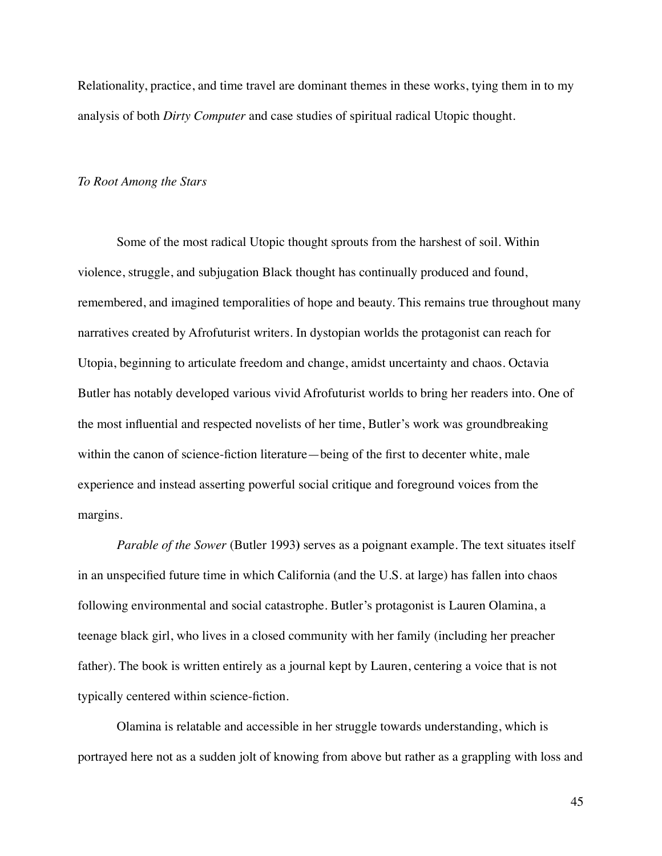Relationality, practice, and time travel are dominant themes in these works, tying them in to my analysis of both *Dirty Computer* and case studies of spiritual radical Utopic thought.

# *To Root Among the Stars*

Some of the most radical Utopic thought sprouts from the harshest of soil. Within violence, struggle, and subjugation Black thought has continually produced and found, remembered, and imagined temporalities of hope and beauty. This remains true throughout many narratives created by Afrofuturist writers. In dystopian worlds the protagonist can reach for Utopia, beginning to articulate freedom and change, amidst uncertainty and chaos. Octavia Butler has notably developed various vivid Afrofuturist worlds to bring her readers into. One of the most influential and respected novelists of her time, Butler's work was groundbreaking within the canon of science-fiction literature—being of the first to decenter white, male experience and instead asserting powerful social critique and foreground voices from the margins.

*Parable of the Sower* (Butler 1993**)** serves as a poignant example. The text situates itself in an unspecified future time in which California (and the U.S. at large) has fallen into chaos following environmental and social catastrophe. Butler's protagonist is Lauren Olamina, a teenage black girl, who lives in a closed community with her family (including her preacher father). The book is written entirely as a journal kept by Lauren, centering a voice that is not typically centered within science-fiction.

Olamina is relatable and accessible in her struggle towards understanding, which is portrayed here not as a sudden jolt of knowing from above but rather as a grappling with loss and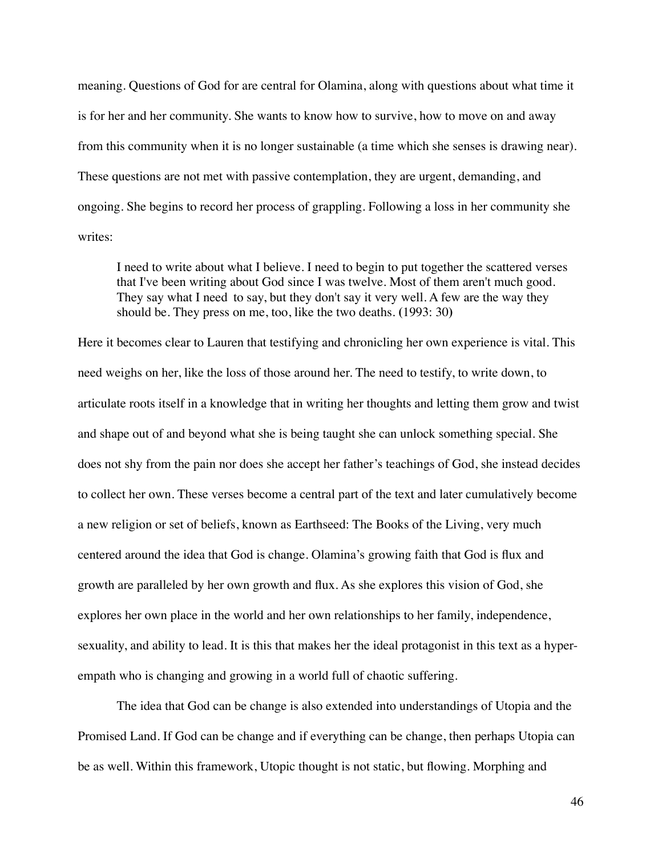meaning. Questions of God for are central for Olamina, along with questions about what time it is for her and her community. She wants to know how to survive, how to move on and away from this community when it is no longer sustainable (a time which she senses is drawing near). These questions are not met with passive contemplation, they are urgent, demanding, and ongoing. She begins to record her process of grappling. Following a loss in her community she writes:

I need to write about what I believe. I need to begin to put together the scattered verses that I've been writing about God since I was twelve. Most of them aren't much good. They say what I need to say, but they don't say it very well. A few are the way they should be. They press on me, too, like the two deaths. **(**1993: 30**)**

Here it becomes clear to Lauren that testifying and chronicling her own experience is vital. This need weighs on her, like the loss of those around her. The need to testify, to write down, to articulate roots itself in a knowledge that in writing her thoughts and letting them grow and twist and shape out of and beyond what she is being taught she can unlock something special. She does not shy from the pain nor does she accept her father's teachings of God, she instead decides to collect her own. These verses become a central part of the text and later cumulatively become a new religion or set of beliefs, known as Earthseed: The Books of the Living, very much centered around the idea that God is change. Olamina's growing faith that God is flux and growth are paralleled by her own growth and flux. As she explores this vision of God, she explores her own place in the world and her own relationships to her family, independence, sexuality, and ability to lead. It is this that makes her the ideal protagonist in this text as a hyperempath who is changing and growing in a world full of chaotic suffering.

The idea that God can be change is also extended into understandings of Utopia and the Promised Land. If God can be change and if everything can be change, then perhaps Utopia can be as well. Within this framework, Utopic thought is not static, but flowing. Morphing and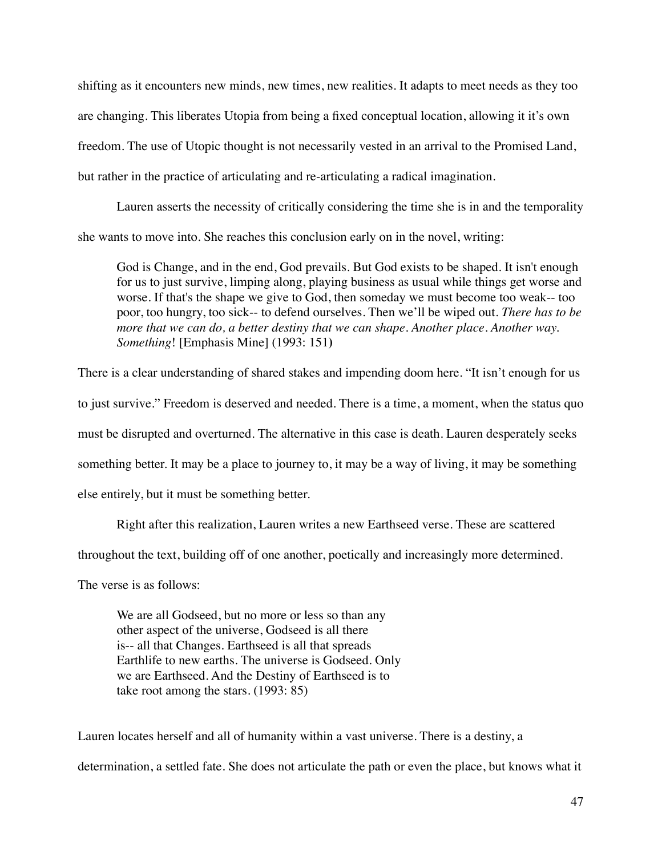shifting as it encounters new minds, new times, new realities. It adapts to meet needs as they too are changing. This liberates Utopia from being a fixed conceptual location, allowing it it's own freedom. The use of Utopic thought is not necessarily vested in an arrival to the Promised Land, but rather in the practice of articulating and re-articulating a radical imagination.

Lauren asserts the necessity of critically considering the time she is in and the temporality she wants to move into. She reaches this conclusion early on in the novel, writing:

God is Change, and in the end, God prevails. But God exists to be shaped. It isn't enough for us to just survive, limping along, playing business as usual while things get worse and worse. If that's the shape we give to God, then someday we must become too weak-- too poor, too hungry, too sick-- to defend ourselves. Then we'll be wiped out. *There has to be more that we can do, a better destiny that we can shape. Another place. Another way. Something*! [Emphasis Mine] (1993: 151**)**

There is a clear understanding of shared stakes and impending doom here. "It isn't enough for us to just survive." Freedom is deserved and needed. There is a time, a moment, when the status quo must be disrupted and overturned. The alternative in this case is death. Lauren desperately seeks something better. It may be a place to journey to, it may be a way of living, it may be something else entirely, but it must be something better.

Right after this realization, Lauren writes a new Earthseed verse. These are scattered

throughout the text, building off of one another, poetically and increasingly more determined.

The verse is as follows:

We are all Godseed, but no more or less so than any other aspect of the universe, Godseed is all there is-- all that Changes. Earthseed is all that spreads Earthlife to new earths. The universe is Godseed. Only we are Earthseed. And the Destiny of Earthseed is to take root among the stars. (1993: 85)

Lauren locates herself and all of humanity within a vast universe. There is a destiny, a determination, a settled fate. She does not articulate the path or even the place, but knows what it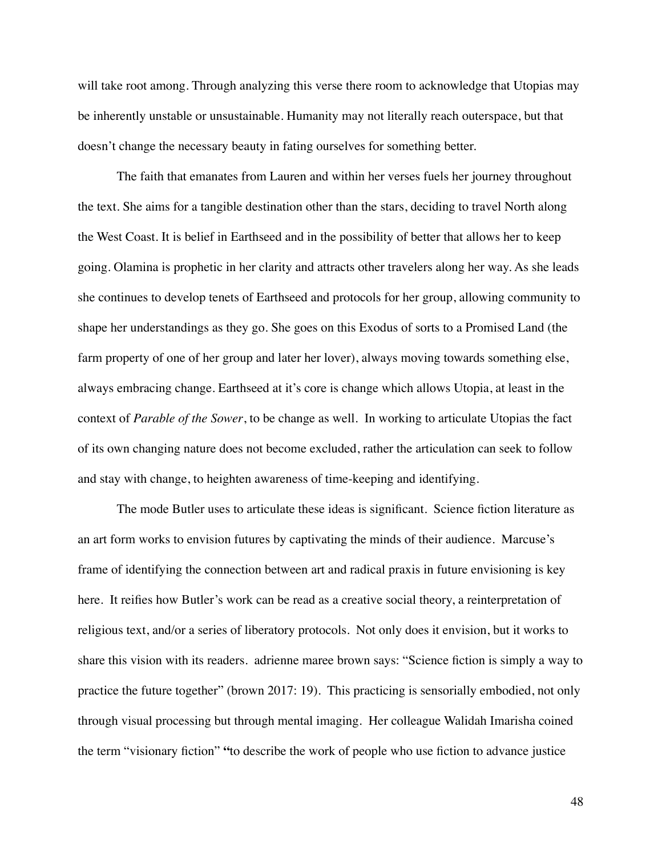will take root among. Through analyzing this verse there room to acknowledge that Utopias may be inherently unstable or unsustainable. Humanity may not literally reach outerspace, but that doesn't change the necessary beauty in fating ourselves for something better.

The faith that emanates from Lauren and within her verses fuels her journey throughout the text. She aims for a tangible destination other than the stars, deciding to travel North along the West Coast. It is belief in Earthseed and in the possibility of better that allows her to keep going. Olamina is prophetic in her clarity and attracts other travelers along her way. As she leads she continues to develop tenets of Earthseed and protocols for her group, allowing community to shape her understandings as they go. She goes on this Exodus of sorts to a Promised Land (the farm property of one of her group and later her lover), always moving towards something else, always embracing change. Earthseed at it's core is change which allows Utopia, at least in the context of *Parable of the Sower*, to be change as well. In working to articulate Utopias the fact of its own changing nature does not become excluded, rather the articulation can seek to follow and stay with change, to heighten awareness of time-keeping and identifying.

The mode Butler uses to articulate these ideas is significant. Science fiction literature as an art form works to envision futures by captivating the minds of their audience. Marcuse's frame of identifying the connection between art and radical praxis in future envisioning is key here. It reifies how Butler's work can be read as a creative social theory, a reinterpretation of religious text, and/or a series of liberatory protocols. Not only does it envision, but it works to share this vision with its readers. adrienne maree brown says: "Science fiction is simply a way to practice the future together" (brown 2017: 19). This practicing is sensorially embodied, not only through visual processing but through mental imaging. Her colleague Walidah Imarisha coined the term "visionary fiction" **"**to describe the work of people who use fiction to advance justice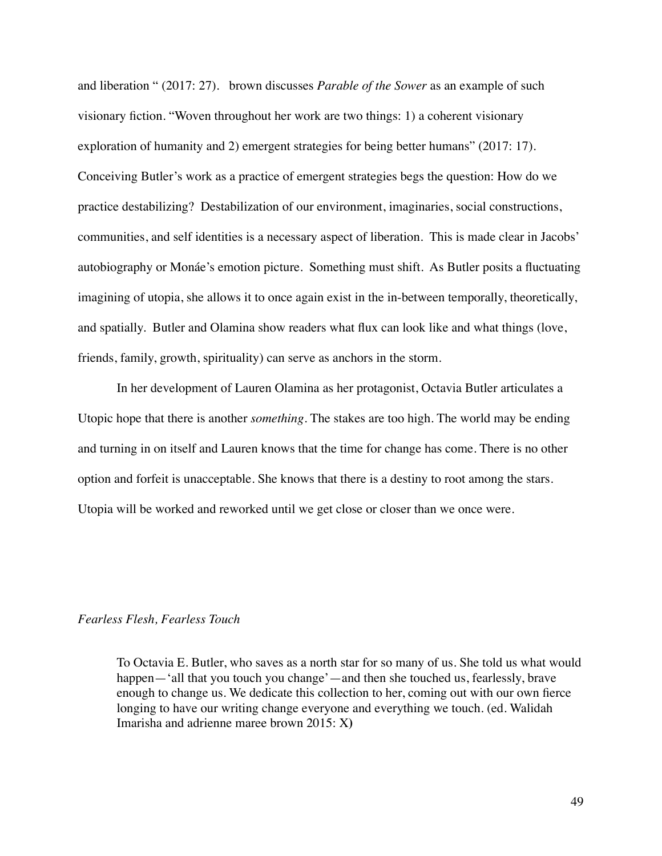and liberation " (2017: 27). brown discusses *Parable of the Sower* as an example of such visionary fiction. "Woven throughout her work are two things: 1) a coherent visionary exploration of humanity and 2) emergent strategies for being better humans" (2017: 17). Conceiving Butler's work as a practice of emergent strategies begs the question: How do we practice destabilizing? Destabilization of our environment, imaginaries, social constructions, communities, and self identities is a necessary aspect of liberation. This is made clear in Jacobs' autobiography or Monáe's emotion picture. Something must shift. As Butler posits a fluctuating imagining of utopia, she allows it to once again exist in the in-between temporally, theoretically, and spatially. Butler and Olamina show readers what flux can look like and what things (love, friends, family, growth, spirituality) can serve as anchors in the storm.

In her development of Lauren Olamina as her protagonist, Octavia Butler articulates a Utopic hope that there is another *something*. The stakes are too high. The world may be ending and turning in on itself and Lauren knows that the time for change has come. There is no other option and forfeit is unacceptable. She knows that there is a destiny to root among the stars. Utopia will be worked and reworked until we get close or closer than we once were.

### *Fearless Flesh, Fearless Touch*

To Octavia E. Butler, who saves as a north star for so many of us. She told us what would happen—'all that you touch you change'—and then she touched us, fearlessly, brave enough to change us. We dedicate this collection to her, coming out with our own fierce longing to have our writing change everyone and everything we touch. (ed. Walidah Imarisha and adrienne maree brown 2015: X**)**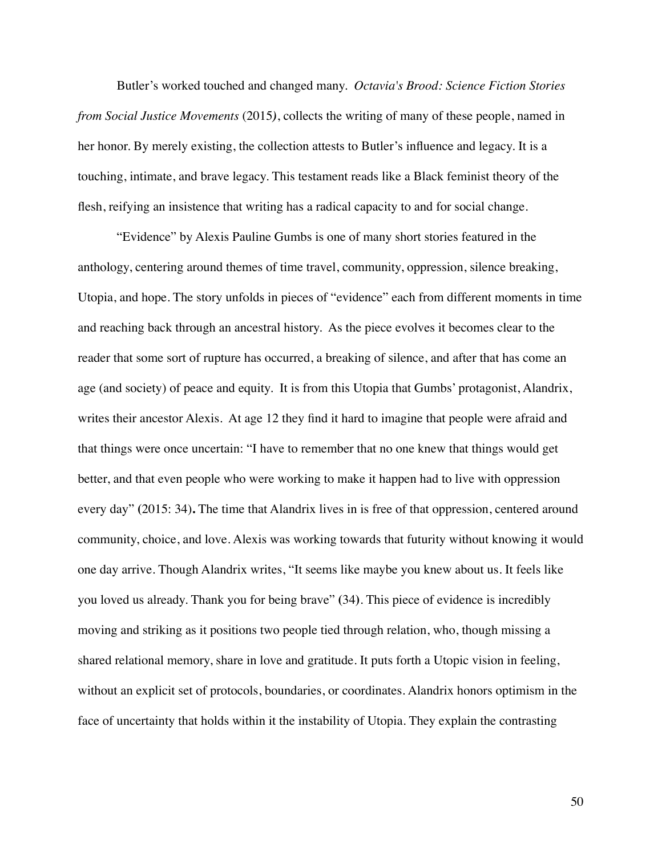Butler's worked touched and changed many. *Octavia's Brood: Science Fiction Stories from Social Justice Movements* (2015*)*, collects the writing of many of these people, named in her honor. By merely existing, the collection attests to Butler's influence and legacy. It is a touching, intimate, and brave legacy. This testament reads like a Black feminist theory of the flesh, reifying an insistence that writing has a radical capacity to and for social change.

"Evidence" by Alexis Pauline Gumbs is one of many short stories featured in the anthology, centering around themes of time travel, community, oppression, silence breaking, Utopia, and hope. The story unfolds in pieces of "evidence" each from different moments in time and reaching back through an ancestral history. As the piece evolves it becomes clear to the reader that some sort of rupture has occurred, a breaking of silence, and after that has come an age (and society) of peace and equity. It is from this Utopia that Gumbs' protagonist, Alandrix, writes their ancestor Alexis. At age 12 they find it hard to imagine that people were afraid and that things were once uncertain: "I have to remember that no one knew that things would get better, and that even people who were working to make it happen had to live with oppression every day" **(**2015: 34)**.** The time that Alandrix lives in is free of that oppression, centered around community, choice, and love. Alexis was working towards that futurity without knowing it would one day arrive. Though Alandrix writes, "It seems like maybe you knew about us. It feels like you loved us already. Thank you for being brave" **(**34**)**. This piece of evidence is incredibly moving and striking as it positions two people tied through relation, who, though missing a shared relational memory, share in love and gratitude. It puts forth a Utopic vision in feeling, without an explicit set of protocols, boundaries, or coordinates. Alandrix honors optimism in the face of uncertainty that holds within it the instability of Utopia. They explain the contrasting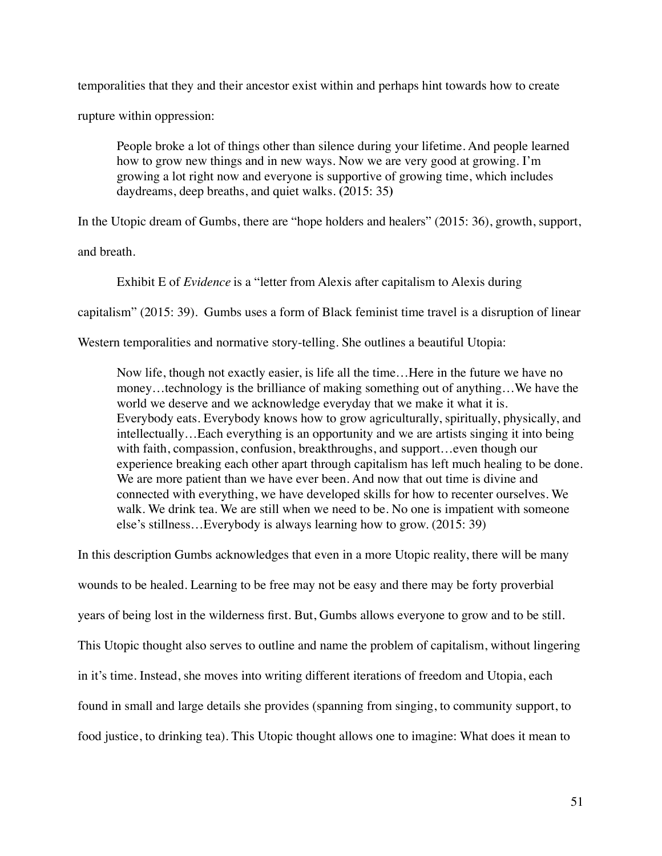temporalities that they and their ancestor exist within and perhaps hint towards how to create

rupture within oppression:

People broke a lot of things other than silence during your lifetime. And people learned how to grow new things and in new ways. Now we are very good at growing. I'm growing a lot right now and everyone is supportive of growing time, which includes daydreams, deep breaths, and quiet walks. **(**2015: 35**)**

In the Utopic dream of Gumbs, there are "hope holders and healers" (2015: 36), growth, support,

and breath.

Exhibit E of *Evidence* is a "letter from Alexis after capitalism to Alexis during

capitalism" (2015: 39). Gumbs uses a form of Black feminist time travel is a disruption of linear

Western temporalities and normative story-telling. She outlines a beautiful Utopia:

Now life, though not exactly easier, is life all the time…Here in the future we have no money…technology is the brilliance of making something out of anything…We have the world we deserve and we acknowledge everyday that we make it what it is. Everybody eats. Everybody knows how to grow agriculturally, spiritually, physically, and intellectually…Each everything is an opportunity and we are artists singing it into being with faith, compassion, confusion, breakthroughs, and support... even though our experience breaking each other apart through capitalism has left much healing to be done. We are more patient than we have ever been. And now that out time is divine and connected with everything, we have developed skills for how to recenter ourselves. We walk. We drink tea. We are still when we need to be. No one is impatient with someone else's stillness…Everybody is always learning how to grow. (2015: 39)

In this description Gumbs acknowledges that even in a more Utopic reality, there will be many wounds to be healed. Learning to be free may not be easy and there may be forty proverbial years of being lost in the wilderness first. But, Gumbs allows everyone to grow and to be still. This Utopic thought also serves to outline and name the problem of capitalism, without lingering in it's time. Instead, she moves into writing different iterations of freedom and Utopia, each found in small and large details she provides (spanning from singing, to community support, to food justice, to drinking tea). This Utopic thought allows one to imagine: What does it mean to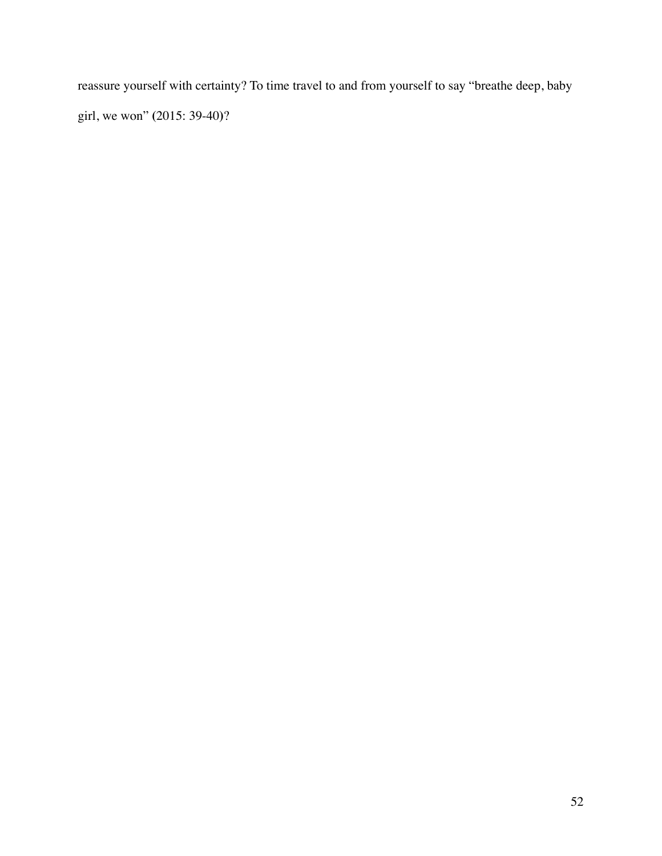reassure yourself with certainty? To time travel to and from yourself to say "breathe deep, baby girl, we won" **(**2015: 39-40**)**?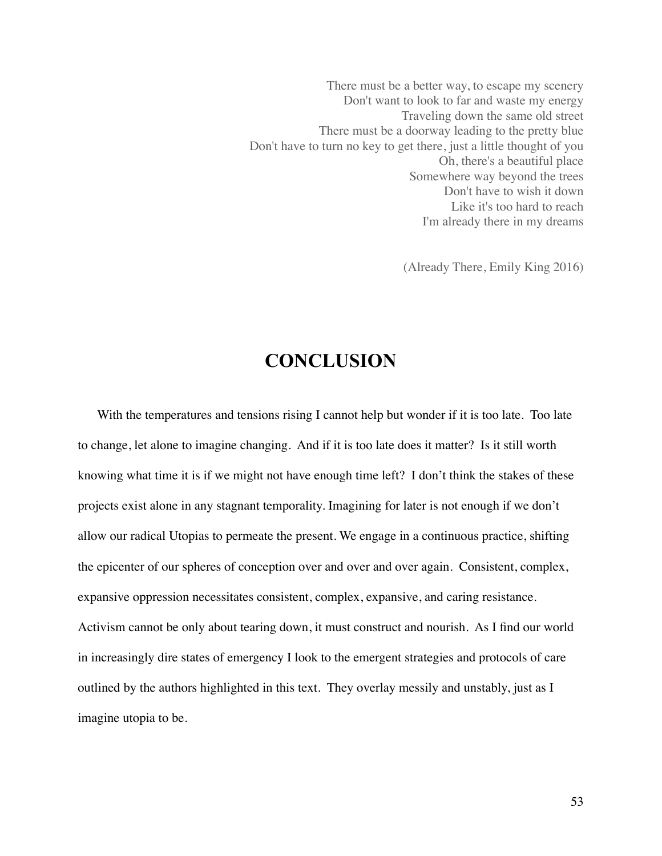There must be a better way, to escape my scenery Don't want to look to far and waste my energy Traveling down the same old street There must be a doorway leading to the pretty blue Don't have to turn no key to get there, just a little thought of you Oh, there's a beautiful place Somewhere way beyond the trees Don't have to wish it down Like it's too hard to reach I'm already there in my dreams

(Already There, Emily King 2016)

# **CONCLUSION**

With the temperatures and tensions rising I cannot help but wonder if it is too late. Too late to change, let alone to imagine changing. And if it is too late does it matter? Is it still worth knowing what time it is if we might not have enough time left? I don't think the stakes of these projects exist alone in any stagnant temporality. Imagining for later is not enough if we don't allow our radical Utopias to permeate the present. We engage in a continuous practice, shifting the epicenter of our spheres of conception over and over and over again. Consistent, complex, expansive oppression necessitates consistent, complex, expansive, and caring resistance. Activism cannot be only about tearing down, it must construct and nourish. As I find our world in increasingly dire states of emergency I look to the emergent strategies and protocols of care outlined by the authors highlighted in this text. They overlay messily and unstably, just as I imagine utopia to be.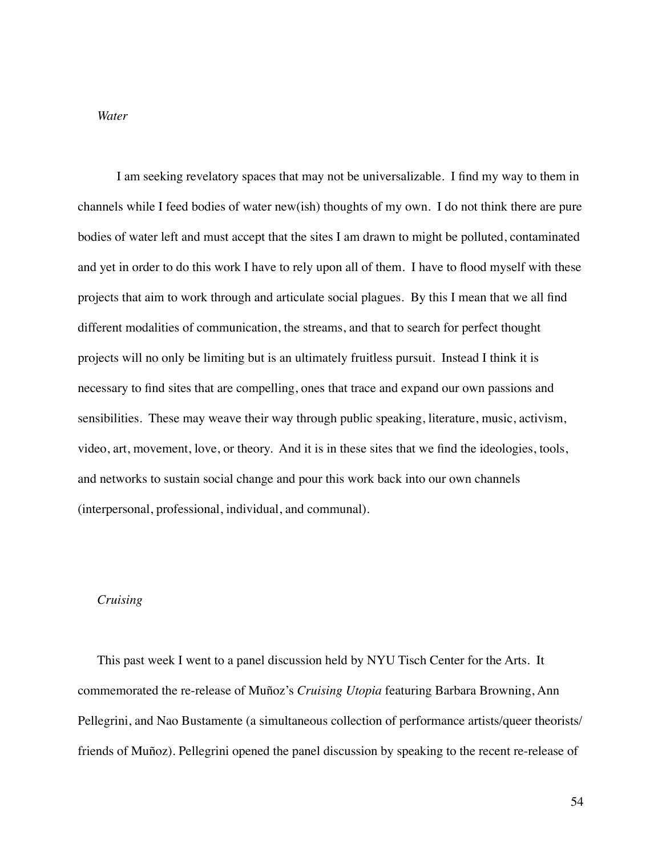*Water*

I am seeking revelatory spaces that may not be universalizable. I find my way to them in channels while I feed bodies of water new(ish) thoughts of my own. I do not think there are pure bodies of water left and must accept that the sites I am drawn to might be polluted, contaminated and yet in order to do this work I have to rely upon all of them. I have to flood myself with these projects that aim to work through and articulate social plagues. By this I mean that we all find different modalities of communication, the streams, and that to search for perfect thought projects will no only be limiting but is an ultimately fruitless pursuit. Instead I think it is necessary to find sites that are compelling, ones that trace and expand our own passions and sensibilities. These may weave their way through public speaking, literature, music, activism, video, art, movement, love, or theory. And it is in these sites that we find the ideologies, tools, and networks to sustain social change and pour this work back into our own channels (interpersonal, professional, individual, and communal).

### *Cruising*

This past week I went to a panel discussion held by NYU Tisch Center for the Arts. It commemorated the re-release of Muñoz's *Cruising Utopia* featuring Barbara Browning, Ann Pellegrini, and Nao Bustamente (a simultaneous collection of performance artists/queer theorists/ friends of Muñoz). Pellegrini opened the panel discussion by speaking to the recent re-release of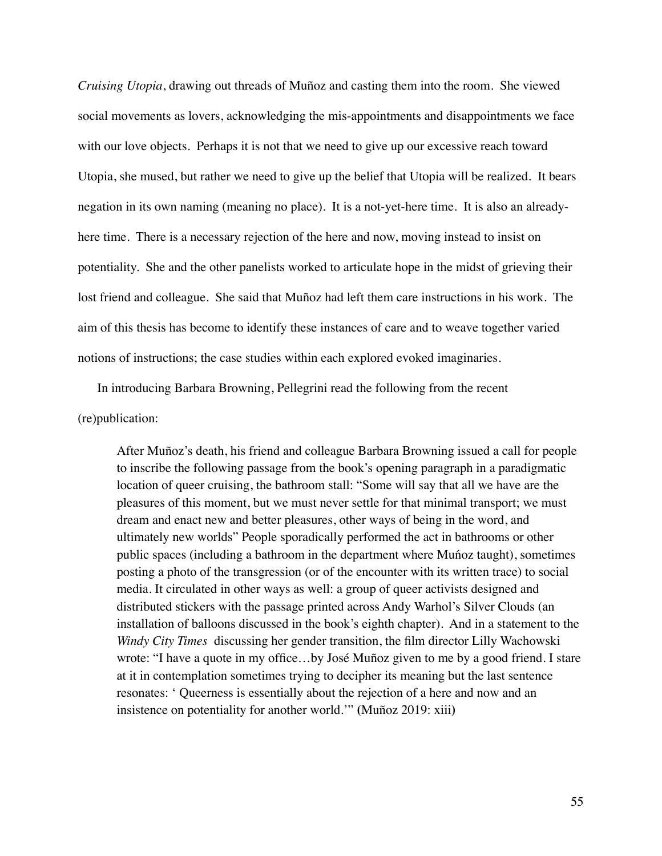*Cruising Utopia*, drawing out threads of Muñoz and casting them into the room. She viewed social movements as lovers, acknowledging the mis-appointments and disappointments we face with our love objects. Perhaps it is not that we need to give up our excessive reach toward Utopia, she mused, but rather we need to give up the belief that Utopia will be realized. It bears negation in its own naming (meaning no place). It is a not-yet-here time. It is also an alreadyhere time. There is a necessary rejection of the here and now, moving instead to insist on potentiality. She and the other panelists worked to articulate hope in the midst of grieving their lost friend and colleague. She said that Muñoz had left them care instructions in his work. The aim of this thesis has become to identify these instances of care and to weave together varied notions of instructions; the case studies within each explored evoked imaginaries.

In introducing Barbara Browning, Pellegrini read the following from the recent

# (re)publication:

After Muñoz's death, his friend and colleague Barbara Browning issued a call for people to inscribe the following passage from the book's opening paragraph in a paradigmatic location of queer cruising, the bathroom stall: "Some will say that all we have are the pleasures of this moment, but we must never settle for that minimal transport; we must dream and enact new and better pleasures, other ways of being in the word, and ultimately new worlds" People sporadically performed the act in bathrooms or other public spaces (including a bathroom in the department where Muńoz taught), sometimes posting a photo of the transgression (or of the encounter with its written trace) to social media. It circulated in other ways as well: a group of queer activists designed and distributed stickers with the passage printed across Andy Warhol's Silver Clouds (an installation of balloons discussed in the book's eighth chapter). And in a statement to the *Windy City Times* discussing her gender transition, the film director Lilly Wachowski wrote: "I have a quote in my office…by José Muñoz given to me by a good friend. I stare at it in contemplation sometimes trying to decipher its meaning but the last sentence resonates: ' Queerness is essentially about the rejection of a here and now and an insistence on potentiality for another world.'" **(**Muñoz 2019: xiii**)**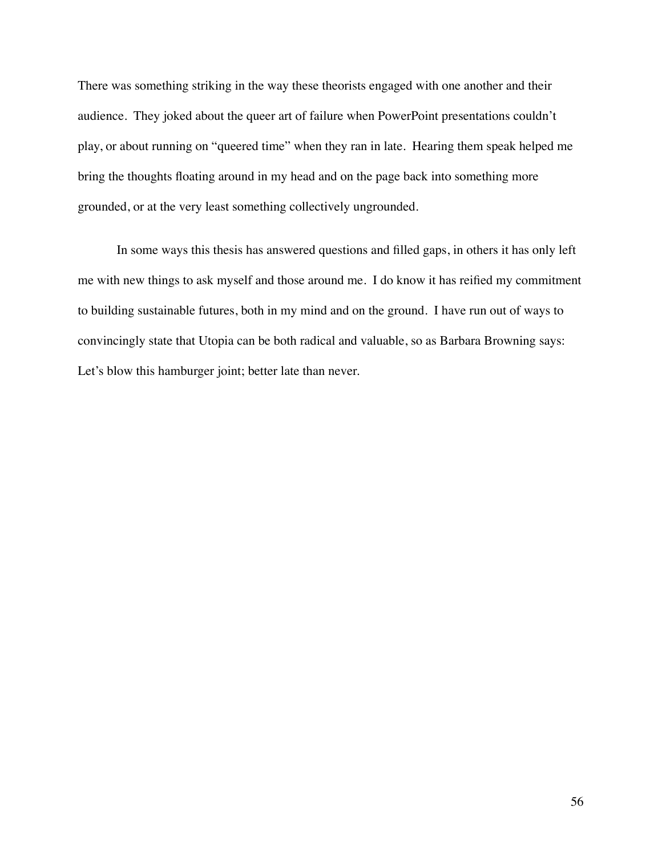There was something striking in the way these theorists engaged with one another and their audience. They joked about the queer art of failure when PowerPoint presentations couldn't play, or about running on "queered time" when they ran in late. Hearing them speak helped me bring the thoughts floating around in my head and on the page back into something more grounded, or at the very least something collectively ungrounded.

In some ways this thesis has answered questions and filled gaps, in others it has only left me with new things to ask myself and those around me. I do know it has reified my commitment to building sustainable futures, both in my mind and on the ground. I have run out of ways to convincingly state that Utopia can be both radical and valuable, so as Barbara Browning says: Let's blow this hamburger joint; better late than never.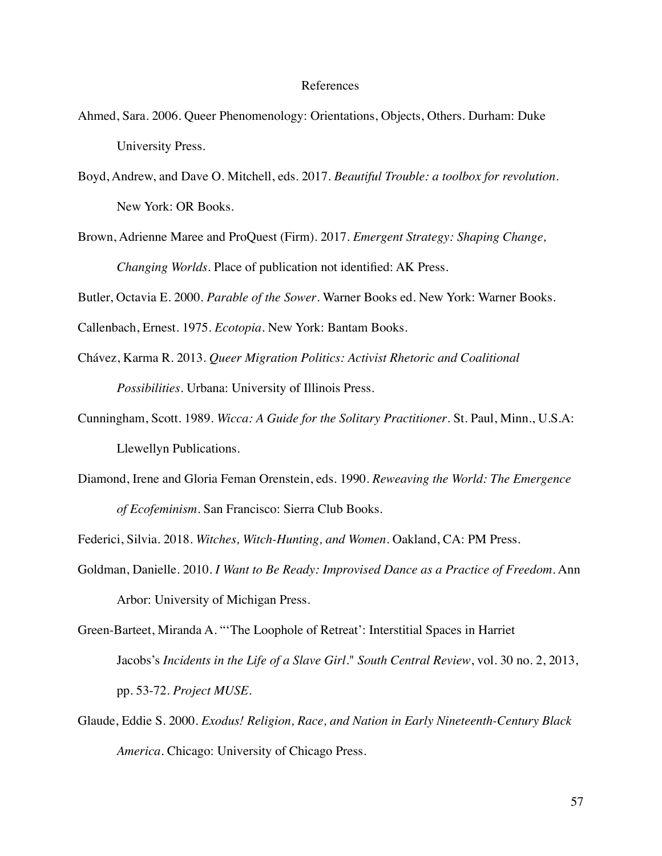### References

- Ahmed, Sara. 2006. Queer Phenomenology: Orientations, Objects, Others. Durham: Duke University Press.
- Boyd, Andrew, and Dave O. Mitchell, eds. 2017. *Beautiful Trouble: a toolbox for revolution*. New York: OR Books.
- Brown, Adrienne Maree and ProQuest (Firm). 2017. *Emergent Strategy: Shaping Change, Changing Worlds*. Place of publication not identified: AK Press.

Butler, Octavia E. 2000. *Parable of the Sower*. Warner Books ed. New York: Warner Books.

- Callenbach, Ernest. 1975. *Ecotopia*. New York: Bantam Books.
- Chávez, Karma R. 2013. *Queer Migration Politics: Activist Rhetoric and Coalitional Possibilities*. Urbana: University of Illinois Press.
- Cunningham, Scott. 1989. *Wicca: A Guide for the Solitary Practitioner*. St. Paul, Minn., U.S.A: Llewellyn Publications.
- Diamond, Irene and Gloria Feman Orenstein, eds. 1990. *Reweaving the World: The Emergence of Ecofeminism*. San Francisco: Sierra Club Books.

Federici, Silvia. 2018. *Witches, Witch-Hunting, and Women*. Oakland, CA: PM Press.

Goldman, Danielle. 2010. *I Want to Be Ready: Improvised Dance as a Practice of Freedom*. Ann Arbor: University of Michigan Press.

Green-Barteet, Miranda A. "'The Loophole of Retreat': Interstitial Spaces in Harriet Jacobs's *Incidents in the Life of a Slave Girl*." *South Central Review*, vol. 30 no. 2, 2013, pp. 53-72. *Project MUSE.*

Glaude, Eddie S. 2000. *Exodus! Religion, Race, and Nation in Early Nineteenth-Century Black America*. Chicago: University of Chicago Press.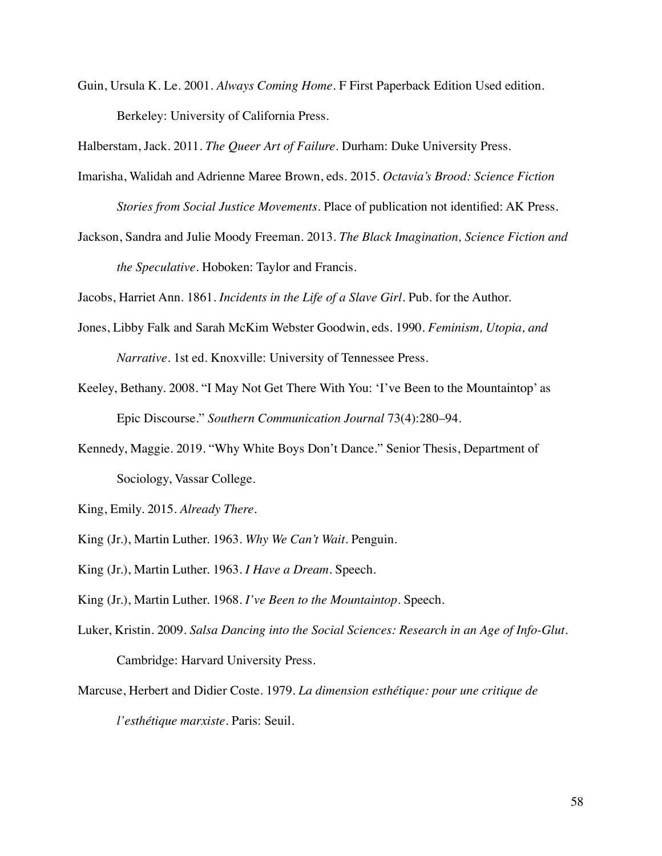Guin, Ursula K. Le. 2001. *Always Coming Home*. F First Paperback Edition Used edition. Berkeley: University of California Press.

Halberstam, Jack. 2011. *The Queer Art of Failure*. Durham: Duke University Press.

- Imarisha, Walidah and Adrienne Maree Brown, eds. 2015. *Octavia's Brood: Science Fiction Stories from Social Justice Movements*. Place of publication not identified: AK Press.
- Jackson, Sandra and Julie Moody Freeman. 2013. *The Black Imagination, Science Fiction and the Speculative.* Hoboken: Taylor and Francis.

Jacobs, Harriet Ann. 1861. *Incidents in the Life of a Slave Girl*. Pub. for the Author.

- Jones, Libby Falk and Sarah McKim Webster Goodwin, eds. 1990. *Feminism, Utopia, and Narrative*. 1st ed. Knoxville: University of Tennessee Press.
- Keeley, Bethany. 2008. "I May Not Get There With You: 'I've Been to the Mountaintop' as Epic Discourse." *Southern Communication Journal* 73(4):280–94.
- Kennedy, Maggie. 2019. "Why White Boys Don't Dance." Senior Thesis, Department of Sociology, Vassar College.
- King, Emily. 2015. *Already There*.
- King (Jr.), Martin Luther. 1963. *Why We Can't Wait*. Penguin.
- King (Jr.), Martin Luther. 1963. *I Have a Dream*. Speech.
- King (Jr.), Martin Luther. 1968. *I've Been to the Mountaintop*. Speech.
- Luker, Kristin. 2009. *Salsa Dancing into the Social Sciences: Research in an Age of Info-Glut.* Cambridge: Harvard University Press.
- Marcuse, Herbert and Didier Coste. 1979. *La dimension esthétique: pour une critique de l'esthétique marxiste*. Paris: Seuil.